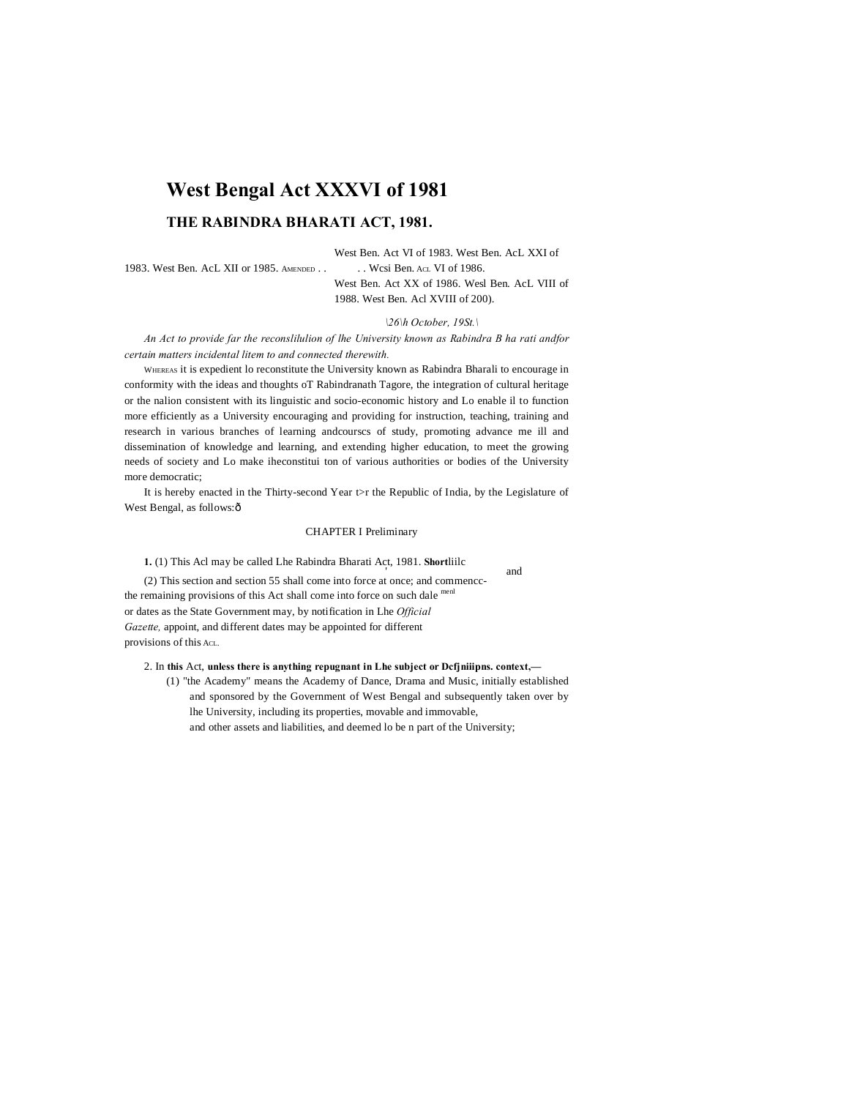# **West Bengal Act XXXVI of 1981**

# **THE RABINDRA BHARATI ACT, 1981.**

# West Ben. Act VI of 1983. West Ben. AcL XXI of

1983. West Ben. AcL XII or 1985. AMENDED . . . . . Wcsi Ben. Acl VI of 1986.

West Ben. Act XX of 1986. Wesl Ben. AcL VIII of 1988. West Ben. Acl XVIII of 200).

## *\26\h October, 19St.\*

*An Act to provide far the reconslilulion of lhe University known as Rabindra B ha rati andfor certain matters incidental litem to and connected therewith.*

WHEREAS it is expedient lo reconstitute the University known as Rabindra Bharali to encourage in conformity with the ideas and thoughts oT Rabindranath Tagore, the integration of cultural heritage or the nalion consistent with its linguistic and socio-economic history and Lo enable il to function more efficiently as a University encouraging and providing for instruction, teaching, training and research in various branches of learning andcourscs of study, promoting advance me ill and dissemination of knowledge and learning, and extending higher education, to meet the growing needs of society and Lo make iheconstitui ton of various authorities or bodies of the University more democratic;

It is hereby enacted in the Thirty-second Year t>r the Republic of India, by the Legislature of West Bengal, as follows: ô

# CHAPTER I Preliminary

**1.** (1) This Acl may be called Lhe Rabindra Bharati Act, 1981. **Short**liilc '

and<br>
(2) This section and section 55 shall come into force at once; and commencethe remaining provisions of this Act shall come into force on such dale menl or dates as the State Government may, by notification in Lhe *Official Gazette,* appoint, and different dates may be appointed for different provisions of this ACL.

# 2. In **this** Act, **unless there is anything repugnant in Lhe subject or Dcfjniiipns. context,—**

(1) "the Academy" means the Academy of Dance, Drama and Music, initially established and sponsored by the Government of West Bengal and subsequently taken over by lhe University, including its properties, movable and immovable, and other assets and liabilities, and deemed lo be n part of the University;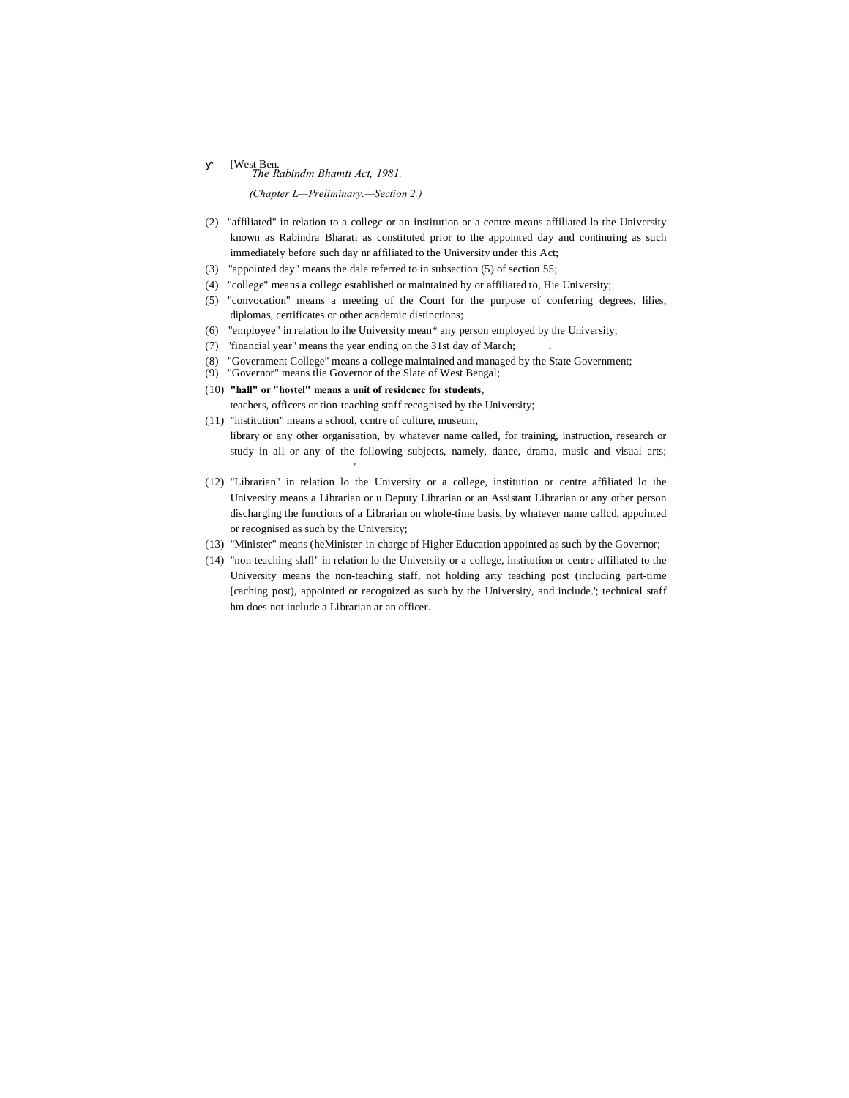# *The Rabindm Bhamti Act, 1981.*<br>The Rabindm Bhamti Act, 1981.

*(Chapter L—Preliminary.—Section 2.)*

- (2) "affiliated" in relation to a collegc or an institution or a centre means affiliated lo the University known as Rabindra Bharati as constituted prior to the appointed day and continuing as such immediately before such day nr affiliated to the University under this Act;
- (3) "appointed day" means the dale referred to in subsection (5) of section 55;
- (4) "college" means a collegc established or maintained by or affiliated to, Hie University;
- (5) "convocation" means a meeting of the Court for the purpose of conferring degrees, lilies, diplomas, certificates or other academic distinctions;
- (6) "employee" in relation lo ihe University mean\* any person employed by the University;
- (7) "financial year" means the year ending on the 31st day of March; .
- (8) "Government College" means a college maintained and managed by the State Government;
- (9) "Governor" means tlie Governor of the Slate of West Bengal;
- (10) **"hall" or "hostel" means a unit of residcncc for students,**

'

- teachers, officers or tion-teaching staff recognised by the University;
- (11) "institution" means a school, ccntre of culture, museum, library or any other organisation, by whatever name called, for training, instruction, research or study in all or any of the following subjects, namely, dance, drama, music and visual arts;
- (12) "Librarian" in relation lo the University or a college, institution or centre affiliated lo ihe University means a Librarian or u Deputy Librarian or an Assistant Librarian or any other person discharging the functions of a Librarian on whole-time basis, by whatever name callcd, appointed or recognised as such by the University;
- (13) "Minister" means (heMinister-in-chargc of Higher Education appointed as such by the Governor;
- (14) "non-teaching slafl" in relation lo the University or a college, institution or centre affiliated to the University means the non-teaching staff, not holding arty teaching post (including part-time [caching post), appointed or recognized as such by the University, and include.'; technical staff hm does not include a Librarian ar an officer.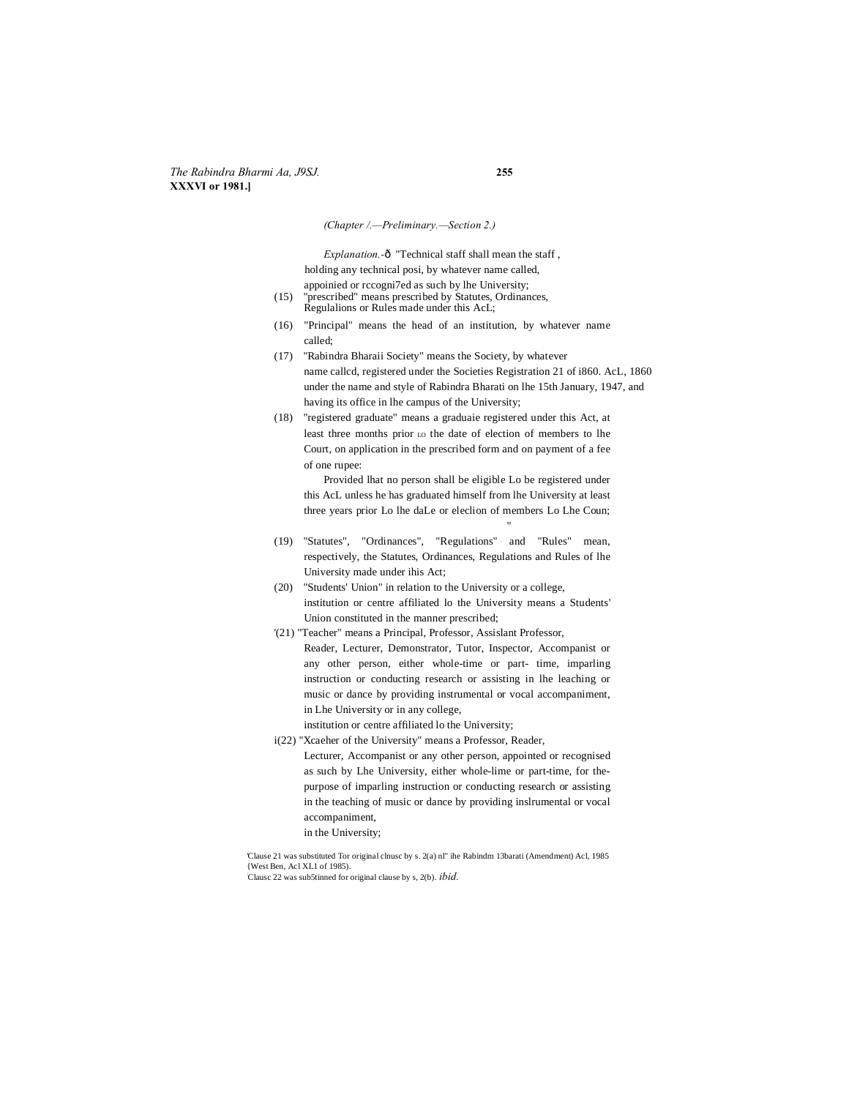*(Chapter /.—Preliminary.—Section 2.)*

*Explanation.*-ô "Technical staff shall mean the staff, holding any technical posi, by whatever name called, appoinied or rccogni7ed as such by lhe University;

- (15) "prescribed" means prescribed by Statutes, Ordinances, Regulalions or Rules made under this AcL;
- (16) "Principal" means the head of an institution, by whatever name called;
- (17) "Rabindra Bharaii Society" means the Society, by whatever name callcd, registered under the Societies Registration 21 of i860. AcL, 1860 under the name and style of Rabindra Bharati on lhe 15th January, 1947, and having its office in lhe campus of the University;
- (18) "registered graduate" means a graduaie registered under this Act, at least three months prior LO the date of election of members to lhe Court, on application in the prescribed form and on payment of a fee of one rupee:

Provided lhat no person shall be eligible Lo be registered under this AcL unless he has graduated himself from lhe University at least three years prior Lo lhe daLe or eleclion of members Lo Lhe Coun;

"

- (19) "Statutes", "Ordinances", "Regulations" and "Rules" mean, respectively, the Statutes, Ordinances, Regulations and Rules of lhe University made under ihis Act;
- (20) "Students' Union" in relation to the University or a college, institution or centre affiliated lo the University means a Students' Union constituted in the manner prescribed;
- '(21) "Teacher" means a Principal, Professor, Assislant Professor,
	- Reader, Lecturer, Demonstrator, Tutor, Inspector, Accompanist or any other person, either whole-time or part- time, imparling instruction or conducting research or assisting in lhe leaching or music or dance by providing instrumental or vocal accompaniment, in Lhe University or in any college,

institution or centre affiliated lo the University;

i(22) "Xcaeher of the University" means a Professor, Reader, Lecturer, Accompanist or any other person, appointed or recognised as such by Lhe University, either whole-lime or part-time, for thepurpose of imparling instruction or conducting research or assisting in the teaching of music or dance by providing inslrumental or vocal accompaniment,

in the University;

'Clause 21 was substituted Tor original clnusc by s. 2(a) nl" ihe Rabindm 13barati (Amendment) Acl, 1985 {West Ben, Acl XL1 of 1985). : Clausc 22 was sub5tinned for original clause by s, 2(b). *ibid.*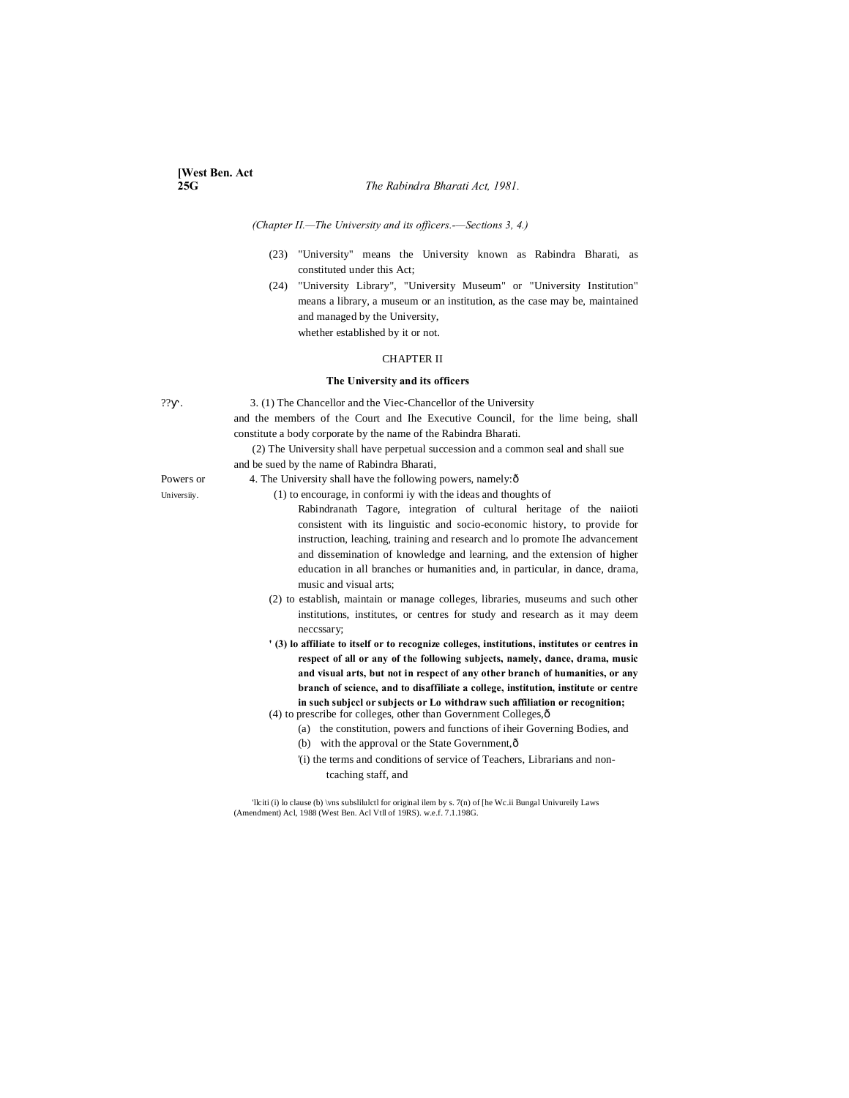### *(Chapter II.—The University and its officers.-—Sections 3, 4.)*

- (23) "University" means the University known as Rabindra Bharati, as constituted under this Act;
- (24) "University Library", "University Museum" or "University Institution" means a library, a museum or an institution, as the case may be, maintained and managed by the University, whether established by it or not.

CHAPTER II

# **The University and its officers**

?? . 3. (1) The Chancellor and the Viec-Chancellor of the University and the members of the Court and Ihe Executive Council, for the lime being, shall constitute a body corporate by the name of the Rabindra Bharati.

> (2) The University shall have perpetual succession and a common seal and shall sue and be sued by the name of Rabindra Bharati,

- Powers or 4. The University shall have the following powers, namely: $\delta$
- University. (1) to encourage, in conformi iy with the ideas and thoughts of
	- Rabindranath Tagore, integration of cultural heritage of the naiioti consistent with its linguistic and socio-economic history, to provide for instruction, leaching, training and research and lo promote Ihe advancement and dissemination of knowledge and learning, and the extension of higher education in all branches or humanities and, in particular, in dance, drama, music and visual arts;
	- (2) to establish, maintain or manage colleges, libraries, museums and such other institutions, institutes, or centres for study and research as it may deem neccssary;
	- **' (3) lo affiliate to itself or to recognize colleges, institutions, institutes or centres in respect of all or any of the following subjects, namely, dance, drama, music and visual arts, but not in respect of any other branch of humanities, or any branch of science, and to disaffiliate a college, institution, institute or centre in such subjccl or subjects or Lo withdraw such affiliation or recognition;**  $(4)$  to prescribe for colleges, other than Government Colleges, $\hat{\text{o}}$
	- (a) the constitution, powers and functions of iheir Governing Bodies, and
		- (b) with the approval or the State Government, $\hat{o}$
		- '(i) the terms and conditions of service of Teachers, Librarians and nontcaching staff, and

'llciti (i) lo clause (b) \vns subslilulctl for original ilem by s. 7(n) of [he Wc.ii Bungal Univureily Laws (Amendment) Acl, 1988 (West Ben. Acl Vtll of 19RS). w.e.f. 7.1.198G.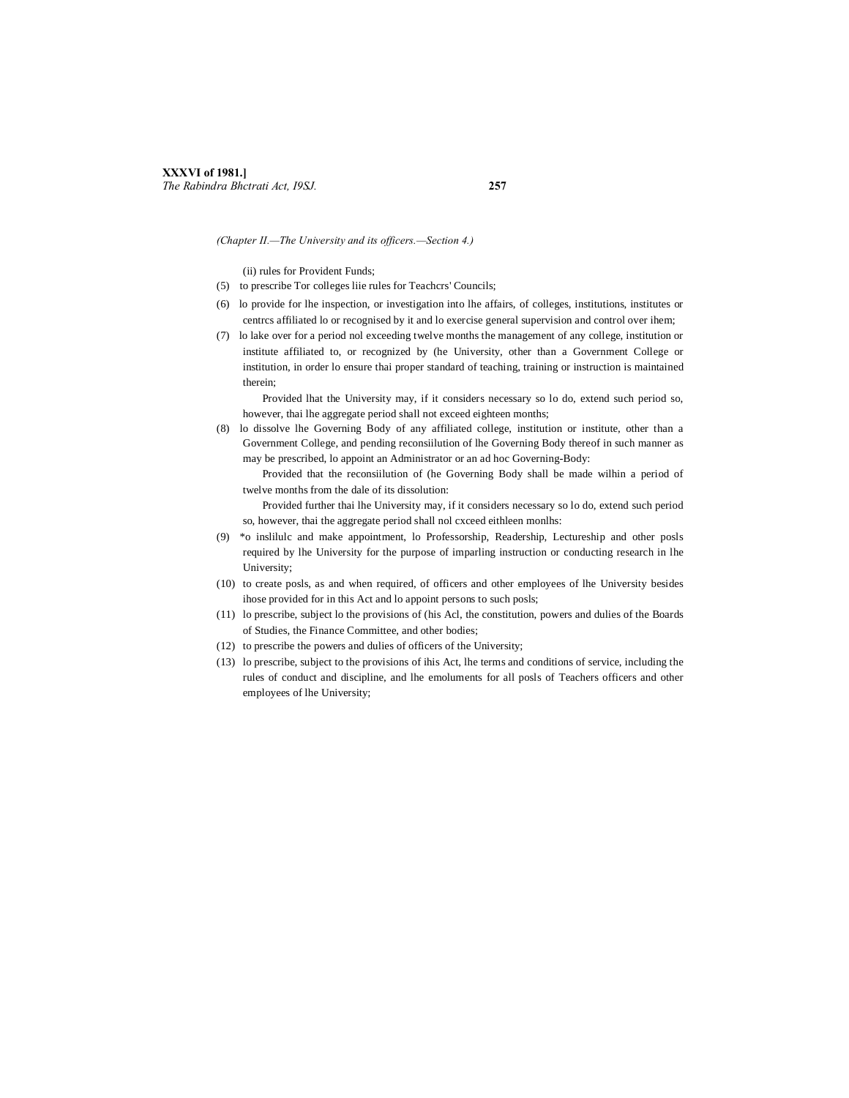*(Chapter II.—The University and its officers.—Section 4.)*

(ii) rules for Provident Funds;

- (5) to prescribe Tor colleges liie rules for Teachcrs' Councils;
- (6) lo provide for lhe inspection, or investigation into lhe affairs, of colleges, institutions, institutes or centrcs affiliated lo or recognised by it and lo exercise general supervision and control over ihem;
- (7) lo lake over for a period nol exceeding twelve months the management of any college, institution or institute affiliated to, or recognized by (he University, other than a Government College or institution, in order lo ensure thai proper standard of teaching, training or instruction is maintained therein;

Provided lhat the University may, if it considers necessary so lo do, extend such period so, however, thai lhe aggregate period shall not exceed eighteen months;

(8) lo dissolve lhe Governing Body of any affiliated college, institution or institute, other than a Government College, and pending reconsiilution of lhe Governing Body thereof in such manner as may be prescribed, lo appoint an Administrator or an ad hoc Governing-Body:

Provided that the reconsiilution of (he Governing Body shall be made wilhin a period of twelve months from the dale of its dissolution:

Provided further thai lhe University may, if it considers necessary so lo do, extend such period so, however, thai the aggregate period shall nol cxceed eithleen monlhs:

- (9) \*o inslilulc and make appointment, lo Professorship, Readership, Lectureship and other posls required by lhe University for the purpose of imparling instruction or conducting research in lhe University;
- (10) to create posls, as and when required, of officers and other employees of lhe University besides ihose provided for in this Act and lo appoint persons to such posls;
- (11) lo prescribe, subject lo the provisions of (his Acl, the constitution, powers and dulies of the Boards of Studies, the Finance Committee, and other bodies;
- (12) to prescribe the powers and dulies of officers of the University;
- (13) lo prescribe, subject to the provisions of ihis Act, lhe terms and conditions of service, including the rules of conduct and discipline, and lhe emoluments for all posls of Teachers officers and other employees of lhe University;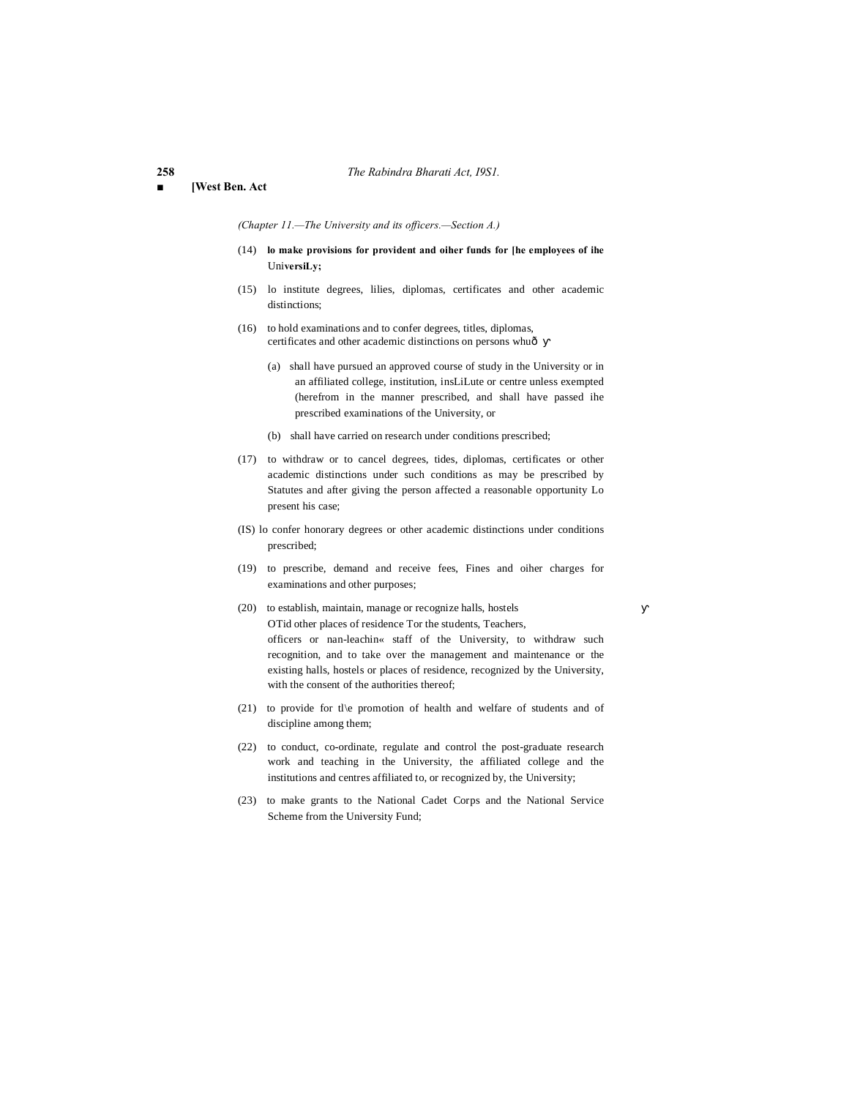### **■ [West Ben. Act**

*(Chapter 11.—The University and its officers.—Section A.)*

- (14) **lo make provisions for provident and oiher funds for [he employees of ihe** Uni**versiLy;**
- (15) lo institute degrees, lilies, diplomas, certificates and other academic distinctions:
- (16) to hold examinations and to confer degrees, titles, diplomas, certificates and other academic distinctions on persons whuô
	- (a) shall have pursued an approved course of study in the University or in an affiliated college, institution, insLiLute or centre unless exempted (herefrom in the manner prescribed, and shall have passed ihe prescribed examinations of the University, or
	- (b) shall have carried on research under conditions prescribed;
- (17) to withdraw or to cancel degrees, tides, diplomas, certificates or other academic distinctions under such conditions as may be prescribed by Statutes and after giving the person affected a reasonable opportunity Lo present his case;
- (IS) lo confer honorary degrees or other academic distinctions under conditions prescribed;
- (19) to prescribe, demand and receive fees, Fines and oiher charges for examinations and other purposes;
- (20) to establish, maintain, manage or recognize halls, hostels OTid other places of residence Tor the students, Teachers, officers or nan-leachin« staff of the University, to withdraw such recognition, and to take over the management and maintenance or the existing halls, hostels or places of residence, recognized by the University, with the consent of the authorities thereof;
- (21) to provide for tl\e promotion of health and welfare of students and of discipline among them;
- (22) to conduct, co-ordinate, regulate and control the post-graduate research work and teaching in the University, the affiliated college and the institutions and centres affiliated to, or recognized by, the University;
- (23) to make grants to the National Cadet Corps and the National Service Scheme from the University Fund;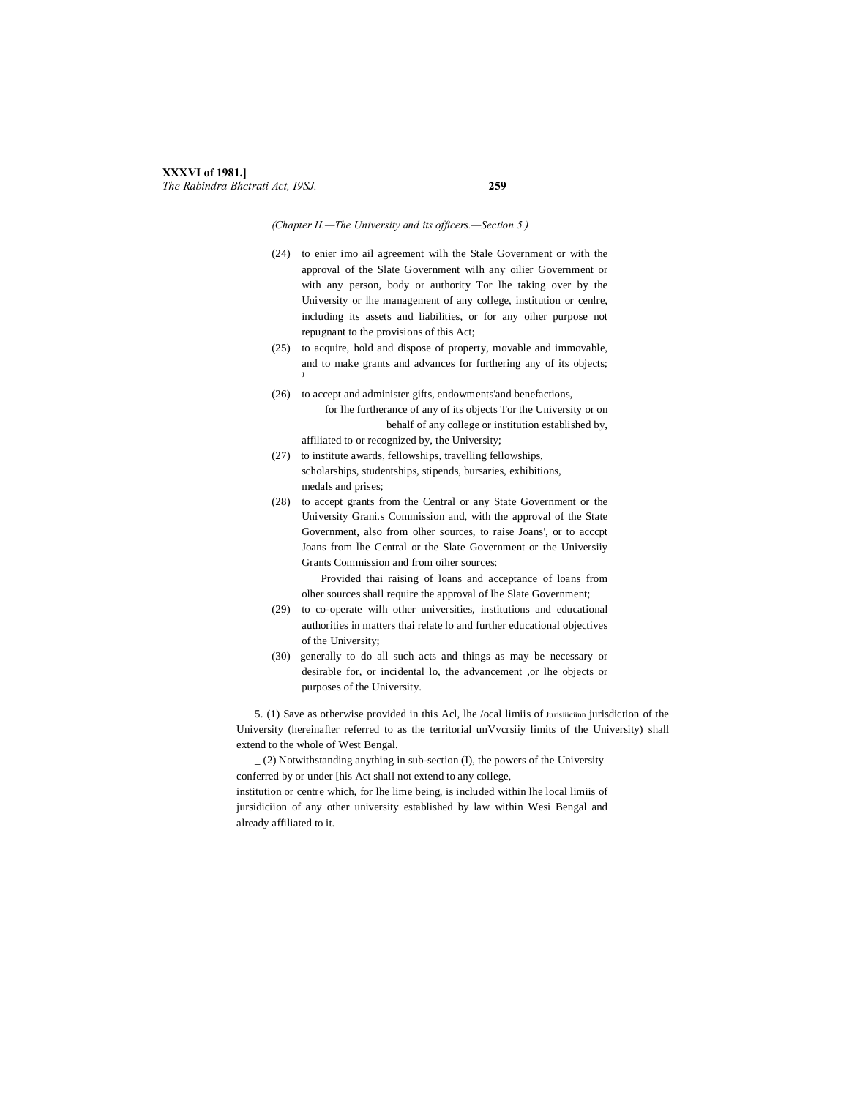# **XXXVI of 1981.]** *The Rabindra Bhctrati Act, I9SJ.* **259**

### *(Chapter II.—The University and its officers.—Section 5.)*

- (24) to enier imo ail agreement wilh the Stale Government or with the approval of the Slate Government wilh any oilier Government or with any person, body or authority Tor lhe taking over by the University or lhe management of any college, institution or cenlre, including its assets and liabilities, or for any oiher purpose not repugnant to the provisions of this Act;
- (25) to acquire, hold and dispose of property, movable and immovable, and to make grants and advances for furthering any of its objects; J
- (26) to accept and administer gifts, endowments'and benefactions, for lhe furtherance of any of its objects Tor the University or on behalf of any college or institution established by, affiliated to or recognized by, the University;
- (27) to institute awards, fellowships, travelling fellowships, scholarships, studentships, stipends, bursaries, exhibitions, medals and prises;
- (28) to accept grants from the Central or any State Government or the University Grani.s Commission and, with the approval of the State Government, also from olher sources, to raise Joans', or to acccpt Joans from lhe Central or the Slate Government or the Universiiy Grants Commission and from oiher sources:

Provided thai raising of loans and acceptance of loans from olher sources shall require the approval of lhe Slate Government;

- (29) to co-operate wilh other universities, institutions and educational authorities in matters thai relate lo and further educational objectives of the University;
- (30) generally to do all such acts and things as may be necessary or desirable for, or incidental lo, the advancement ,or lhe objects or purposes of the University.

5. (1) Save as otherwise provided in this Acl, lhe /ocal limiis of Jurisiiiciinn jurisdiction of the University (hereinafter referred to as the territorial unVvcrsiiy limits of the University) shall extend to the whole of West Bengal.

\_ (2) Notwithstanding anything in sub-section (I), the powers of the University conferred by or under [his Act shall not extend to any college,

institution or centre which, for lhe lime being, is included within lhe local limiis of jursidiciion of any other university established by law within Wesi Bengal and already affiliated to it.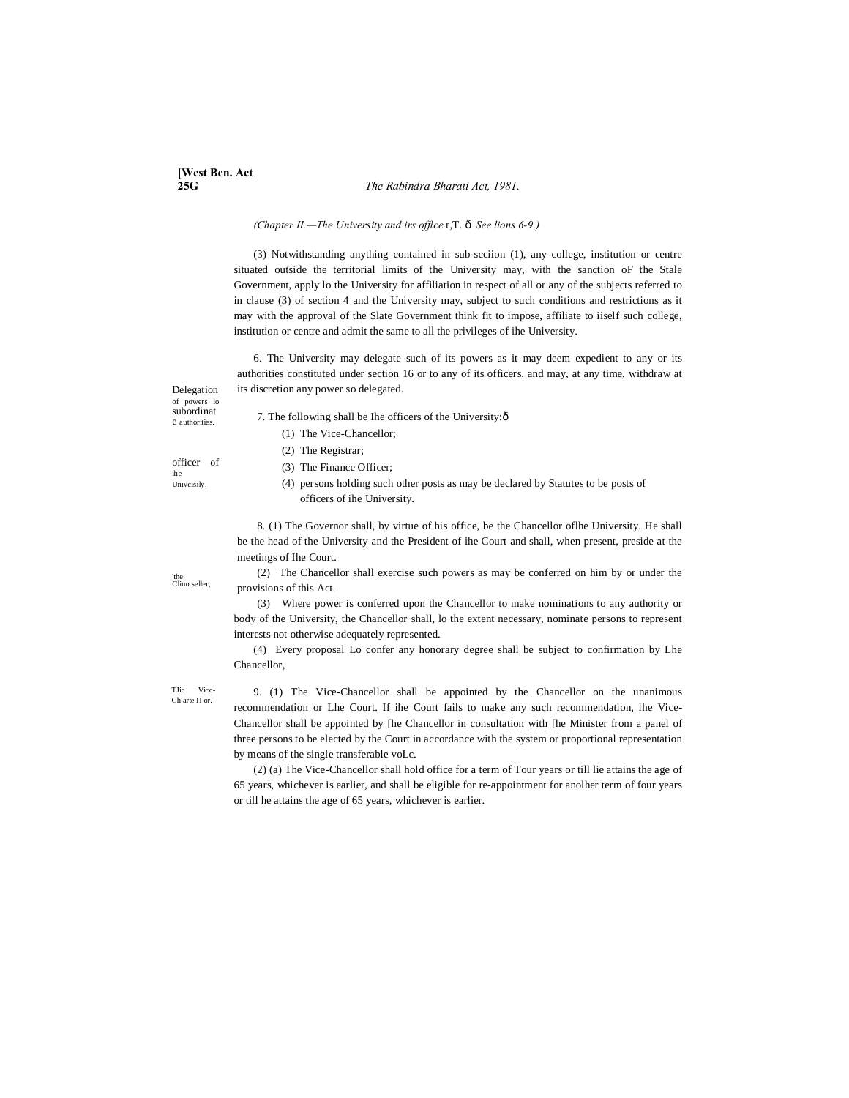# **[West Ben. Act 25G** *The Rabindra Bharati Act, 1981.*

# *(Chapter II.*—*The University and irs office* r,T.  $\delta$  *See lions 6-9.)*

(3) Notwithstanding anything contained in sub-scciion (1), any college, institution or centre situated outside the territorial limits of the University may, with the sanction oF the Stale Government, apply lo the University for affiliation in respect of all or any of the subjects referred to in clause (3) of section 4 and the University may, subject to such conditions and restrictions as it may with the approval of the Slate Government think fit to impose, affiliate to iiself such college, institution or centre and admit the same to all the privileges of ihe University.

6. The University may delegate such of its powers as it may deem expedient to any or its authorities constituted under section 16 or to any of its officers, and may, at any time, withdraw at its discretion any power so delegated.

Delegation of powers lo subordinat e authorities.

officer of ihe Univcisily.

- 7. The following shall be Ihe officers of the University: $\hat{o}$ 
	- (1) The Vice-Chancellor;
	- (2) The Registrar;
	- (3) The Finance Officer;
	- (4) persons holding such other posts as may be declared by Statutes to be posts of officers of ihe University.

8. (1) The Governor shall, by virtue of his office, be the Chancellor oflhe University. He shall be the head of the University and the President of ihe Court and shall, when present, preside at the meetings of Ihe Court.

(2) The Chancellor shall exercise such powers as may be conferred on him by or under the provisions of this Act.

(3) Where power is conferred upon the Chancellor to make nominations to any authority or body of the University, the Chancellor shall, lo the extent necessary, nominate persons to represent interests not otherwise adequately represented.

(4) Every proposal Lo confer any honorary degree shall be subject to confirmation by Lhe Chancellor,

TJic Vicc-Ch arte II or.

9. (1) The Vice-Chancellor shall be appointed by the Chancellor on the unanimous recommendation or Lhe Court. If ihe Court fails to make any such recommendation, lhe Vice-Chancellor shall be appointed by [he Chancellor in consultation with [he Minister from a panel of three persons to be elected by the Court in accordance with the system or proportional representation by means of the single transferable voLc.

(2) (a) The Vice-Chancellor shall hold office for a term of Tour years or till lie attains the age of 65 years, whichever is earlier, and shall be eligible for re-appointment for anolher term of four years or till he attains the age of 65 years, whichever is earlier.

'the Clinn seller,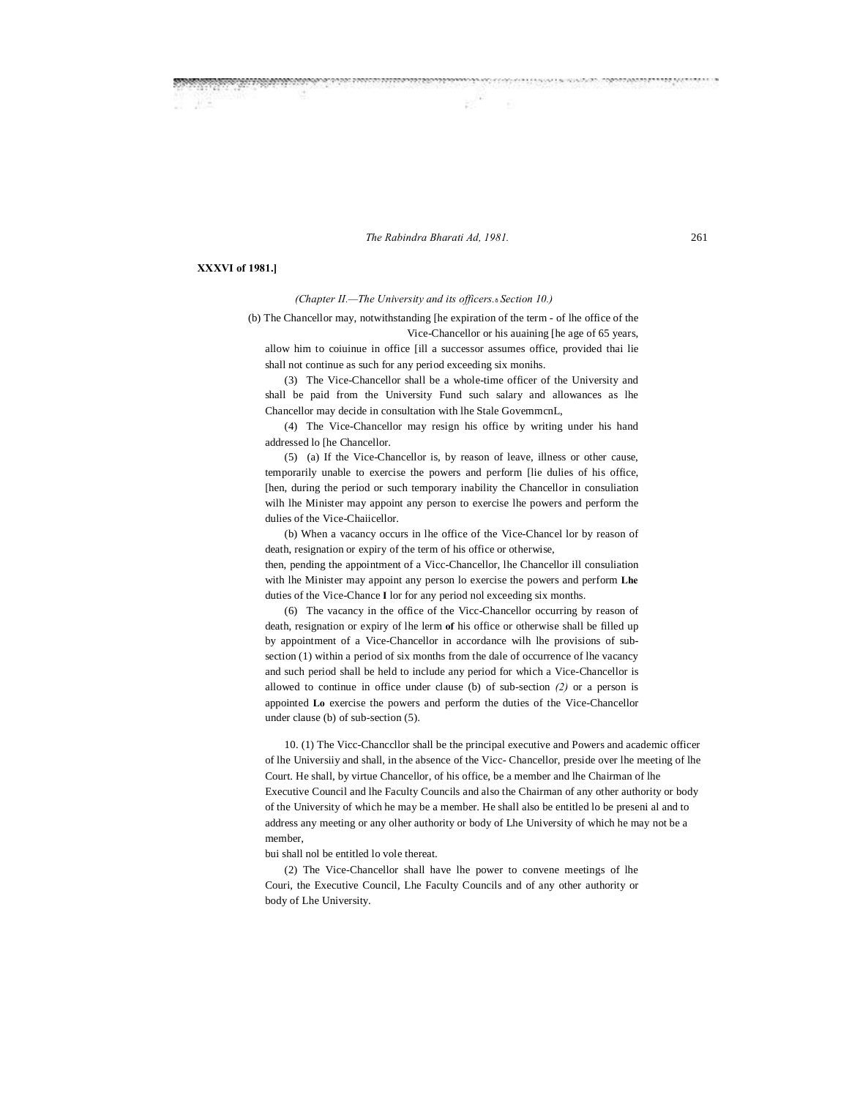*The Rabindra Bharati Ad, 1981.* 261

# **XXXVI of 1981.]**

### *(Chapter II.—The University and its officers.*—*Section 10.)*

(b) The Chancellor may, notwithstanding [he expiration of the term - of lhe office of the Vice-Chancellor or his auaining [he age of 65 years,

allow him to coiuinue in office [ill a successor assumes office, provided thai lie shall not continue as such for any period exceeding six monihs.

(3) The Vice-Chancellor shall be a whole-time officer of the University and shall be paid from the University Fund such salary and allowances as lhe Chancellor may decide in consultation with lhe Stale GovemmcnL,

(4) The Vice-Chancellor may resign his office by writing under his hand addressed lo [he Chancellor.

(5) (a) If the Vice-Chancellor is, by reason of leave, illness or other cause, temporarily unable to exercise the powers and perform [lie dulies of his office, [hen, during the period or such temporary inability the Chancellor in consuliation wilh lhe Minister may appoint any person to exercise lhe powers and perform the dulies of the Vice-Chaiicellor.

(b) When a vacancy occurs in lhe office of the Vice-Chancel lor by reason of death, resignation or expiry of the term of his office or otherwise,

then, pending the appointment of a Vicc-Chancellor, lhe Chancellor ill consuliation with lhe Minister may appoint any person lo exercise the powers and perform **Lhe** duties of the Vice-Chance **I** lor for any period nol exceeding six months.

(6) The vacancy in the office of the Vicc-Chancellor occurring by reason of death, resignation or expiry of lhe lerm **of** his office or otherwise shall be filled up by appointment of a Vice-Chancellor in accordance wilh lhe provisions of subsection (1) within a period of six months from the dale of occurrence of lhe vacancy and such period shall be held to include any period for which a Vice-Chancellor is allowed to continue in office under clause (b) of sub-section *(2)* or a person is appointed **Lo** exercise the powers and perform the duties of the Vice-Chancellor under clause (b) of sub-section (5).

10. (1) The Vicc-Chanccllor shall be the principal executive and Powers and academic officer of lhe Universiiy and shall, in the absence of the Vicc- Chancellor, preside over lhe meeting of lhe Court. He shall, by virtue Chancellor, of his office, be a member and lhe Chairman of lhe Executive Council and lhe Faculty Councils and also the Chairman of any other authority or body of the University of which he may be a member. He shall also be entitled lo be preseni al and to address any meeting or any olher authority or body of Lhe University of which he may not be a member,

bui shall nol be entitled lo vole thereat.

(2) The Vice-Chancellor shall have lhe power to convene meetings of lhe Couri, the Executive Council, Lhe Faculty Councils and of any other authority or body of Lhe University.

**CONSIGNATION CONTINUES INTO PROPER ASSESSMENT AND PARTIES.**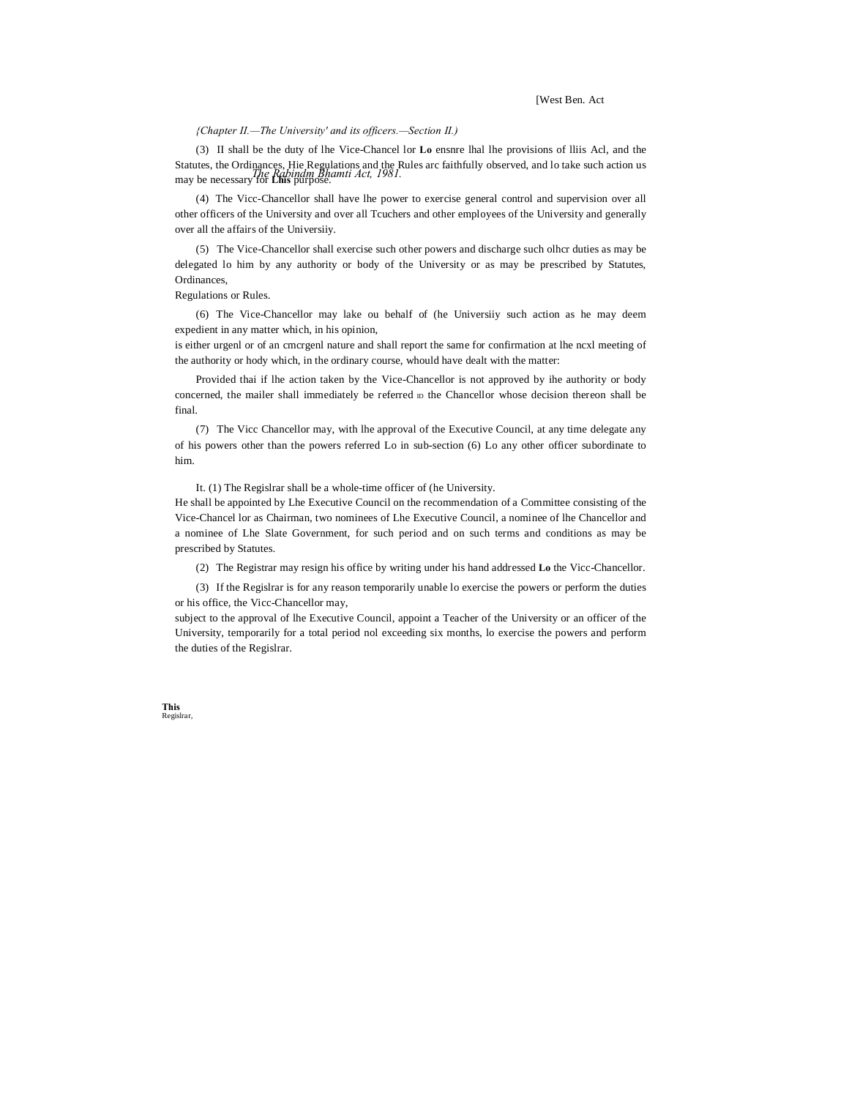[West Ben. Act

### *{Chapter II.—The University' and its officers.—Section II.)*

Statutes, the Ordinances, Hie Regulations and the Rules arc faithfully observed, and lo take such action us<br>may be necessary *The Rabindm Bhamti Act, 1981*. (3) II shall be the duty of lhe Vice-Chancel lor **Lo** ensnre lhal lhe provisions of lliis Acl, and the may be necessary for **Lhis** purpose.

(4) The Vicc-Chancellor shall have lhe power to exercise general control and supervision over all other officers of the University and over all Tcuchers and other employees of the University and generally over all the affairs of the Universiiy.

(5) The Vice-Chancellor shall exercise such other powers and discharge such olhcr duties as may be delegated lo him by any authority or body of the University or as may be prescribed by Statutes, Ordinances,

Regulations or Rules.

(6) The Vice-Chancellor may lake ou behalf of (he Universiiy such action as he may deem expedient in any matter which, in his opinion,

is either urgenl or of an cmcrgenl nature and shall report the same for confirmation at lhe ncxl meeting of the authority or hody which, in the ordinary course, whould have dealt with the matter:

Provided thai if lhe action taken by the Vice-Chancellor is not approved by ihe authority or body concerned, the mailer shall immediately be referred  $D$  the Chancellor whose decision thereon shall be final.

(7) The Vicc Chancellor may, with lhe approval of the Executive Council, at any time delegate any of his powers other than the powers referred Lo in sub-section (6) Lo any other officer subordinate to him.

It. (1) The Regislrar shall be a whole-time officer of (he University.

He shall be appointed by Lhe Executive Council on the recommendation of a Committee consisting of the Vice-Chancel lor as Chairman, two nominees of Lhe Executive Council, a nominee of lhe Chancellor and a nominee of Lhe Slate Government, for such period and on such terms and conditions as may be prescribed by Statutes.

(2) The Registrar may resign his office by writing under his hand addressed **Lo** the Vicc-Chancellor.

(3) If the Regislrar is for any reason temporarily unable lo exercise the powers or perform the duties or his office, the Vicc-Chancellor may,

subject to the approval of lhe Executive Council, appoint a Teacher of the University or an officer of the University, temporarily for a total period nol exceeding six months, lo exercise the powers and perform the duties of the Regislrar.

**This** Regislrar,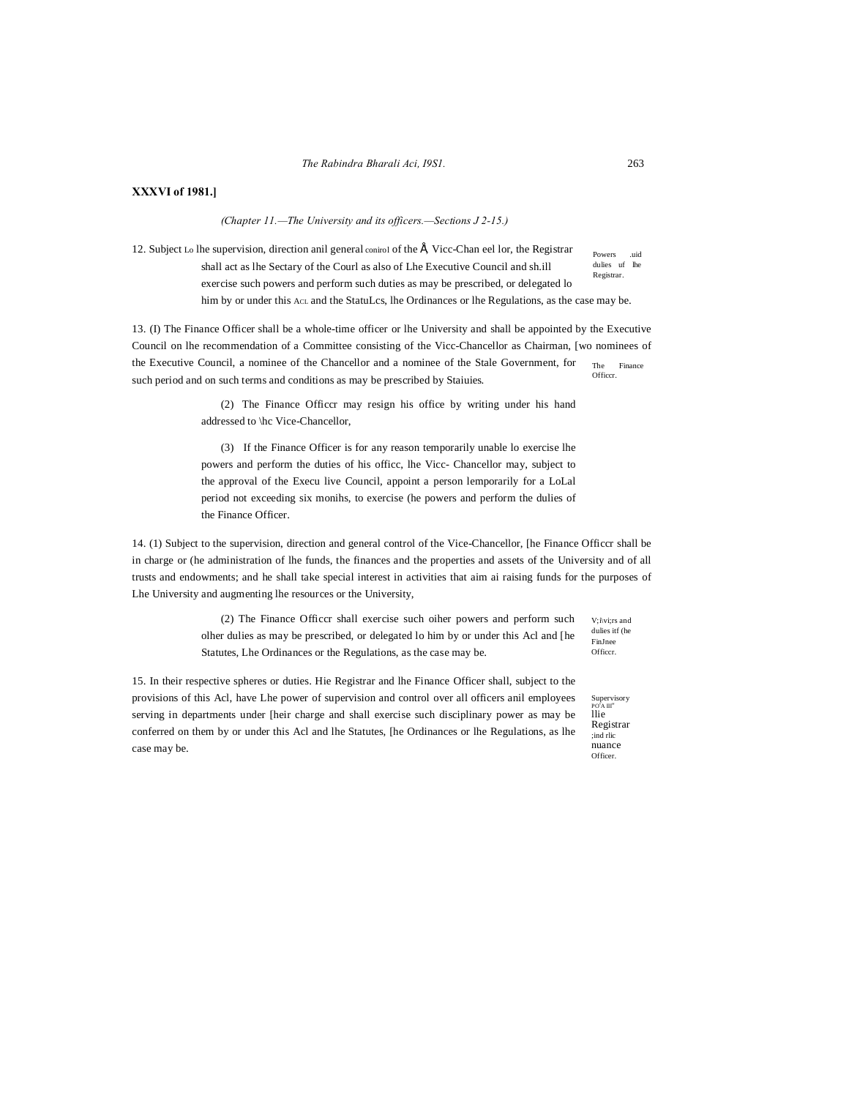# **XXXVI of 1981.]**

*(Chapter 11.—The University and its officers.—Sections J 2-15.)*

Powers .uid dulies uf lhe Registrar. 12. Subject Lo lhe supervision, direction anil general conirol of the É, Vicc-Chan eel lor, the Registrar shall act as lhe Sectary of the Courl as also of Lhe Executive Council and sh.ill exercise such powers and perform such duties as may be prescribed, or delegated lo him by or under this AcL and the StatuLcs, lhe Ordinances or lhe Regulations, as the case may be.

The Finance **Officer** 13. (I) The Finance Officer shall be a whole-time officer or lhe University and shall be appointed by the Executive Council on lhe recommendation of a Committee consisting of the Vicc-Chancellor as Chairman, [wo nominees of the Executive Council, a nominee of the Chancellor and a nominee of the Stale Government, for such period and on such terms and conditions as may be prescribed by Staiuies.

> (2) The Finance Officcr may resign his office by writing under his hand addressed to \hc Vice-Chancellor,

> (3) If the Finance Officer is for any reason temporarily unable lo exercise lhe powers and perform the duties of his officc, lhe Vicc- Chancellor may, subject to the approval of the Execu live Council, appoint a person lemporarily for a LoLal period not exceeding six monihs, to exercise (he powers and perform the dulies of the Finance Officer.

14. (1) Subject to the supervision, direction and general control of the Vice-Chancellor, [he Finance Officcr shall be in charge or (he administration of lhe funds, the finances and the properties and assets of the University and of all trusts and endowments; and he shall take special interest in activities that aim ai raising funds for the purposes of Lhe University and augmenting lhe resources or the University,

> V;i\vi;rs and (2) The Finance Officcr shall exercise such oiher powers and perform such olher dulies as may be prescribed, or delegated lo him by or under this Acl and [he Statutes, Lhe Ordinances or the Regulations, as the case may be.

15. In their respective spheres or duties. Hie Registrar and lhe Finance Officer shall, subject to the provisions of this Acl, have Lhe power of supervision and control over all officers anil employees serving in departments under [heir charge and shall exercise such disciplinary power as may be conferred on them by or under this Acl and lhe Statutes, [he Ordinances or lhe Regulations, as lhe case may be.

dulies itf (he FinJnee Officcr.

Supervisory<br><sup>PO'A III''</sup><br>llie Registrar ;ind rlic nuance Officer.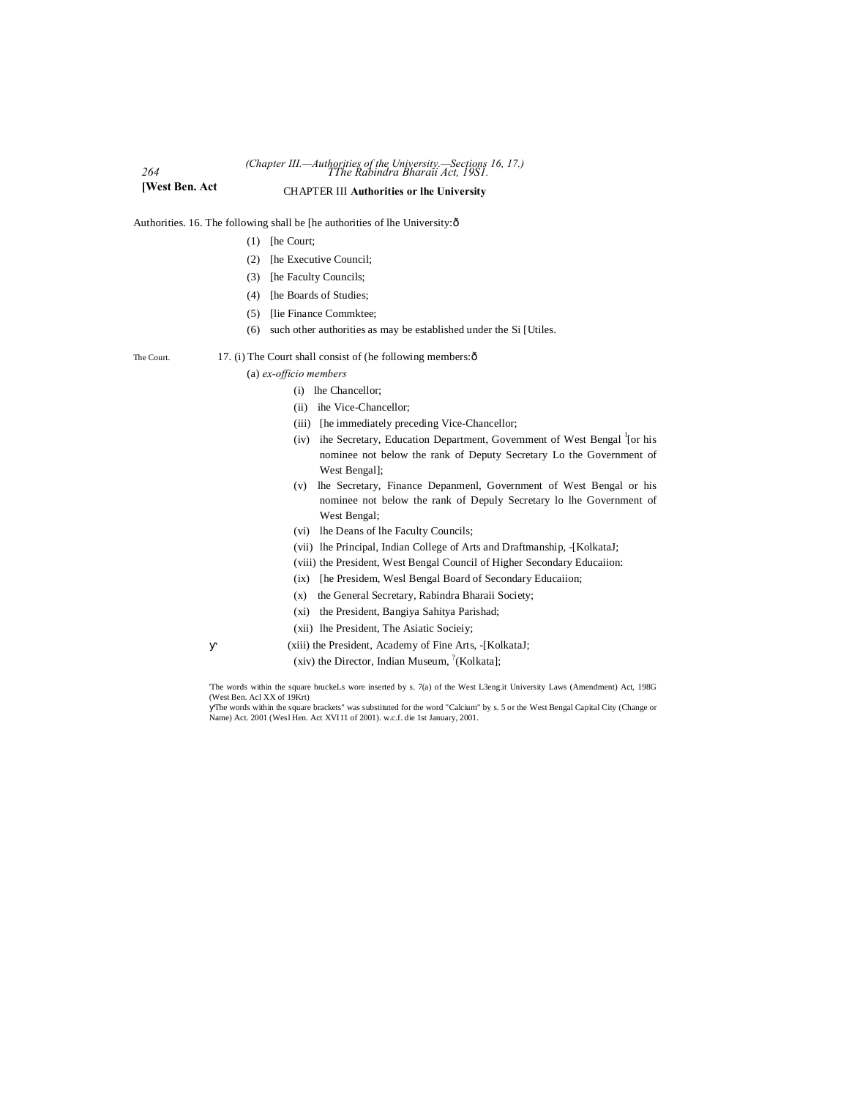# *264 TThe Rabindra Bharaii Act, 19S1. (Chapter III.—Authorities of the University.—Sections 16, 17.)* **[West Ben. Act** CHAPTER III **Authorities or lhe University**

Authorities. 16. The following shall be [he authorities of lhe University: $\hat{o}$ 

- (1) [he Court;
- (2) [he Executive Council;
- (3) [he Faculty Councils;
- (4) [he Boards of Studies;
- (5) [lie Finance Commktee;
- (6) such other authorities as may be established under the Si [Utiles.

# The Court. 17. (i) The Court shall consist of (he following members:  $\hat{o}$

(a) *ex-officio members*

- (i) lhe Chancellor;
- (ii) ihe Vice-Chancellor;
- (iii) [he immediately preceding Vice-Chancellor;
- (iv) ihe Secretary, Education Department, Government of West Bengal <sup>1</sup>[or his nominee not below the rank of Deputy Secretary Lo the Government of West Bengal];
- (v) lhe Secretary, Finance Depanmenl, Government of West Bengal or his nominee not below the rank of Depuly Secretary lo lhe Government of West Bengal;
- (vi) lhe Deans of lhe Faculty Councils;
- (vii) lhe Principal, Indian College of Arts and Draftmanship, -[KolkataJ;
- (viii) the President, West Bengal Council of Higher Secondary Educaiion:
- (ix) [he Presidem, Wesl Bengal Board of Secondary Educaiion;
- (x) the General Secretary, Rabindra Bharaii Society;
- (xi) the President, Bangiya Sahitya Parishad;
- (xii) lhe President, The Asiatic Socieiy;
- (xiii) the President, Academy of Fine Arts, -[KolkataJ;
- (xiv) the Director, Indian Museum,  $^{?}$ (Kolkata];

'The words within the square bruckeLs wore inserted by s. 7(a) of the West L3eng.it University Laws (Amendment) Act, 198G (West Ben. Acl XX of 19Krt)

The words within the square brackets" was substituted for the word "Calcium" by s. 5 or the West Bengal Capital City (Change or Name) Act. 2001 (Wesl Hen. Act XVI11 of 2001). w.c.f. die 1st January, 2001.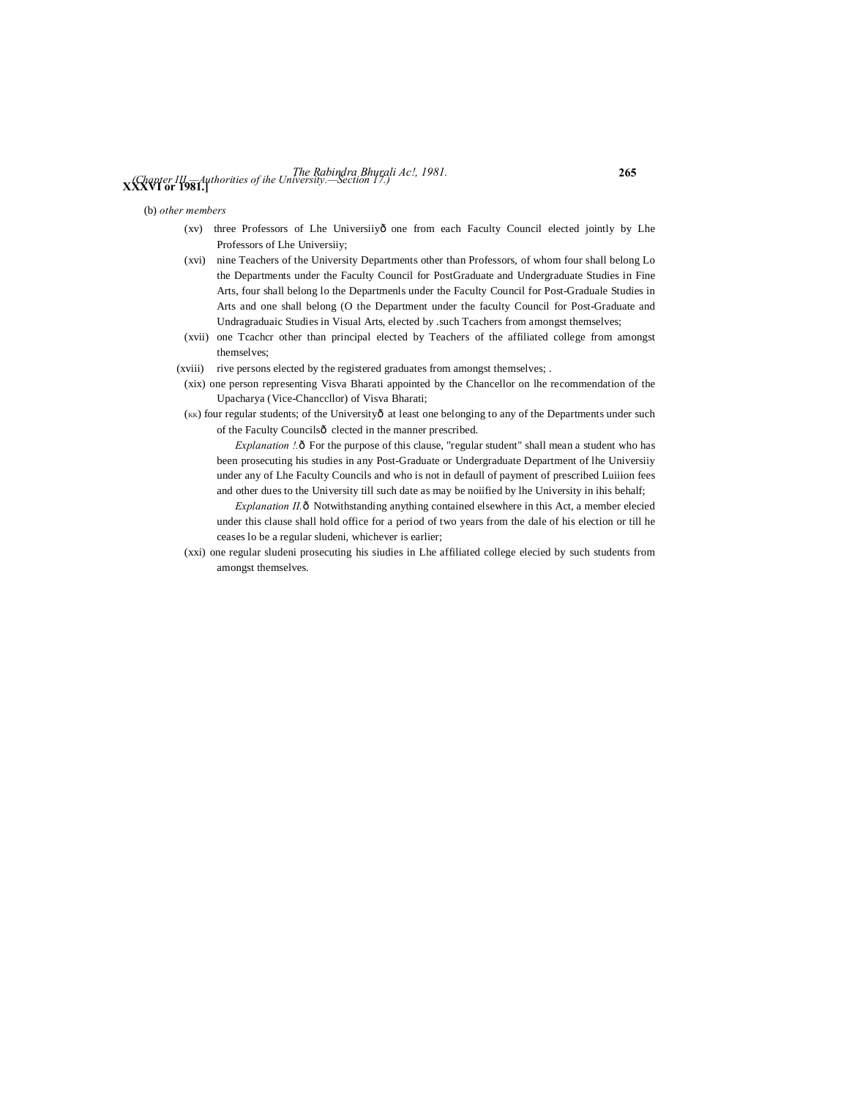# *The Rabindra Bhurali Ac!, 1981.* **265 XXXVI or 1981.]** *(Chapter III.—Authorities of ihe University.—Section 17.)*

(b) *other members*

- (xv) three Professors of Lhe Universiiyô one from each Faculty Council elected jointly by Lhe Professors of Lhe Universiiy;
- (xvi) nine Teachers of the University Departments other than Professors, of whom four shall belong Lo the Departments under the Faculty Council for PostGraduate and Undergraduate Studies in Fine Arts, four shall belong lo the Departmenls under the Faculty Council for Post-Graduale Studies in Arts and one shall belong (O the Department under the faculty Council for Post-Graduate and Undragraduaic Studies in Visual Arts, elected by .such Tcachers from amongst themselves;
- (xvii) one Tcachcr other than principal elected by Teachers of the affiliated college from amongst themselves;
- (xviii) rive persons elected by the registered graduates from amongst themselves; .
- (xix) one person representing Visva Bharati appointed by the Chancellor on lhe recommendation of the Upacharya (Vice-Chanccllor) of Visva Bharati;
- (KK) four regular students; of the Universityô at least one belonging to any of the Departments under such of the Faculty Councilsô clected in the manner prescribed.

*Explanation !.* ô For the purpose of this clause, "regular student" shall mean a student who has been prosecuting his studies in any Post-Graduate or Undergraduate Department of lhe Universiiy under any of Lhe Faculty Councils and who is not in defaull of payment of prescribed Luiiion fees and other dues to the University till such date as may be noiified by lhe University in ihis behalf;

*Explanation II.* ô Notwithstanding anything contained elsewhere in this Act, a member elecied under this clause shall hold office for a period of two years from the dale of his election or till he ceases lo be a regular sludeni, whichever is earlier;

(xxi) one regular sludeni prosecuting his siudies in Lhe affiliated college elecied by such students from amongst themselves.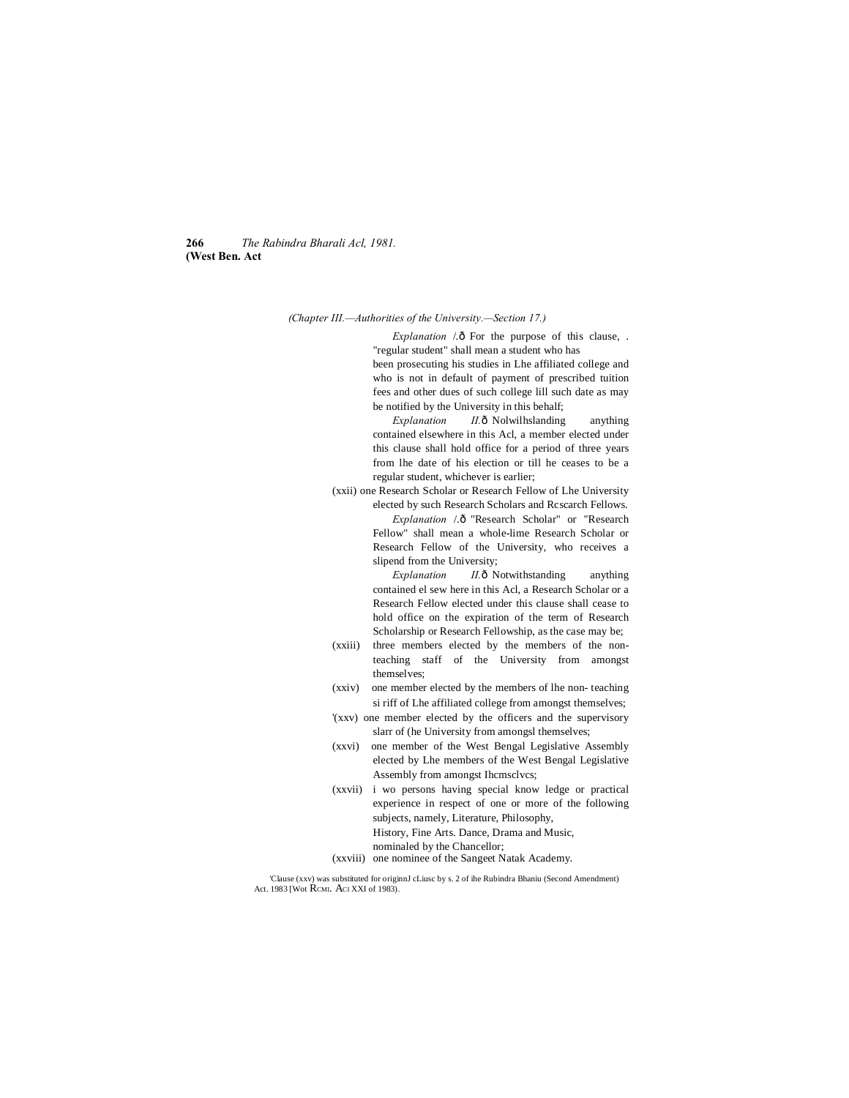**266** *The Rabindra Bharali Acl, 1981.* **(West Ben. Act**

*(Chapter III.—Authorities of the University.—Section 17.)*

*Explanation* /.ô For the purpose of this clause, . "regular student" shall mean a student who has been prosecuting his studies in Lhe affiliated college and who is not in default of payment of prescribed tuition

fees and other dues of such college lill such date as may be notified by the University in this behalf; *Explanation II.* ô Nolwilhslanding anything

contained elsewhere in this Acl, a member elected under this clause shall hold office for a period of three years from lhe date of his election or till he ceases to be a regular student, whichever is earlier;

(xxii) one Research Scholar or Research Fellow of Lhe University elected by such Research Scholars and Rcscarch Fellows. Explanation /.ô "Research Scholar" or "Research Fellow" shall mean a whole-lime Research Scholar or Research Fellow of the University, who receives a slipend from the University;

> *Explanation II.* ô Notwithstanding anything contained el sew here in this Acl, a Research Scholar or a Research Fellow elected under this clause shall cease to hold office on the expiration of the term of Research Scholarship or Research Fellowship, as the case may be;

- (xxiii) three members elected by the members of the nonteaching staff of the University from amongst themselves;
- (xxiv) one member elected by the members of lhe non- teaching si riff of Lhe affiliated college from amongst themselves;
- '(xxv) one member elected by the officers and the supervisory slarr of (he University from amongsl themselves;
- (xxvi) one member of the West Bengal Legislative Assembly elected by Lhe members of the West Bengal Legislative Assembly from amongst Ihcmsclvcs;
- (xxvii) i wo persons having special know ledge or practical experience in respect of one or more of the following subjects, namely, Literature, Philosophy, History, Fine Arts. Dance, Drama and Music, nominaled by the Chancellor;
- (xxviii) one nominee of the Sangeet Natak Academy.

'Clause (xxv) was substituted for originnJ cLiusc by s. 2 of ihe Rubindra Bhaniu (Second Amendment) Act. 1983 [Wot RCMI. ACI XXI of 1983).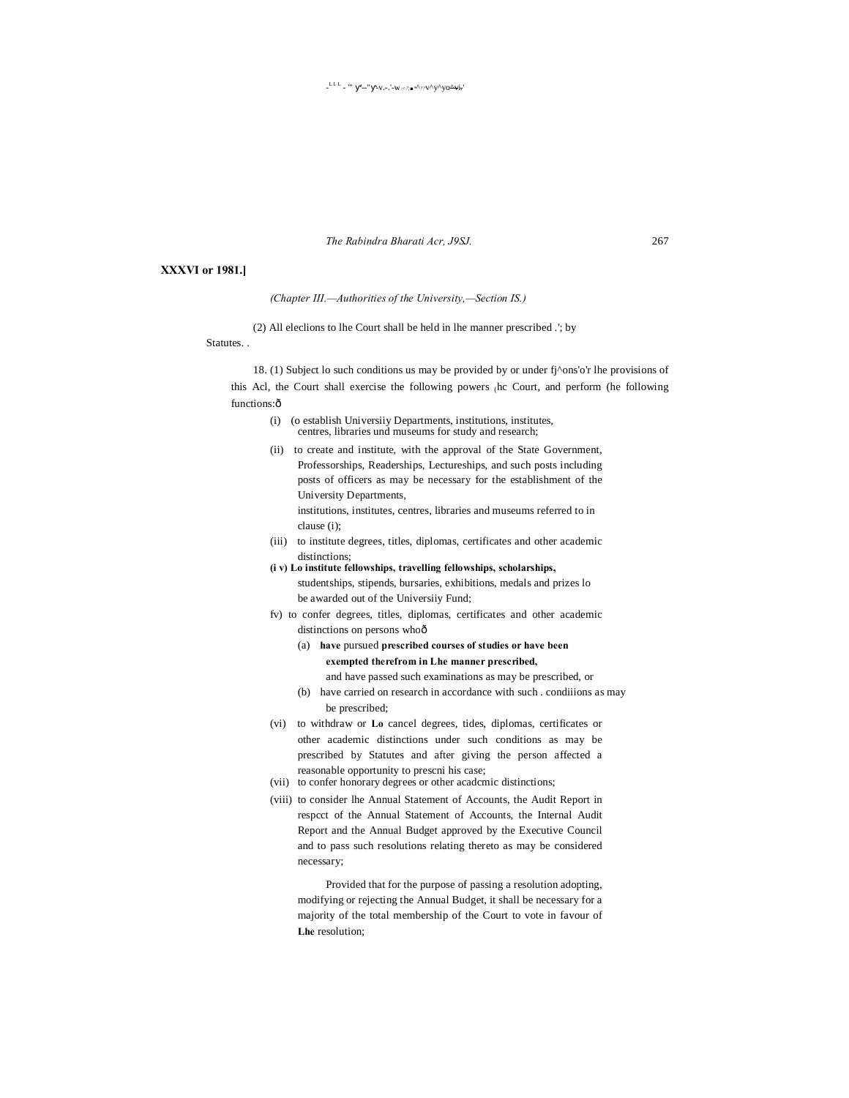The Rabindra Bharati Acr, J9SJ.

# **XXXVI** or 1981.]

(Chapter III.-Authorities of the University,-Section IS.)

(2) All elections to the Court shall be held in the manner prescribed .'; by

Statutes..

18. (1) Subject lo such conditions us may be provided by or under fj^ons'o'r lhe provisions of this Acl, the Court shall exercise the following powers (hc Court, and perform (he following functions:ô

- (o establish University Departments, institutions, institutes,  $(i)$ centres, libraries und museums for study and research;
- (ii) to create and institute, with the approval of the State Government, Professorships, Readerships, Lectureships, and such posts including posts of officers as may be necessary for the establishment of the University Departments, institutions, institutes, centres, libraries and museums referred to in clause (i);
- (iii) to institute degrees, titles, diplomas, certificates and other academic distinctions;
- (i v) Lo institute fellowships, travelling fellowships, scholarships, studentships, stipends, bursaries, exhibitions, medals and prizes lo be awarded out of the University Fund;
- fv) to confer degrees, titles, diplomas, certificates and other academic distinctions on persons whoô
	- (a) have pursued prescribed courses of studies or have been exempted therefrom in Lhe manner prescribed, and have passed such examinations as may be prescribed, or
	- (b) have carried on research in accordance with such . conditions as may be prescribed;
- (vi) to withdraw or Lo cancel degrees, tides, diplomas, certificates or other academic distinctions under such conditions as may be prescribed by Statutes and after giving the person affected a reasonable opportunity to prescni his case;
- (vii) to confer honorary degrees or other academic distinctions;
- (viii) to consider lhe Annual Statement of Accounts, the Audit Report in respect of the Annual Statement of Accounts, the Internal Audit Report and the Annual Budget approved by the Executive Council and to pass such resolutions relating thereto as may be considered necessary;

Provided that for the purpose of passing a resolution adopting, modifying or rejecting the Annual Budget, it shall be necessary for a majority of the total membership of the Court to vote in favour of Lhe resolution:

267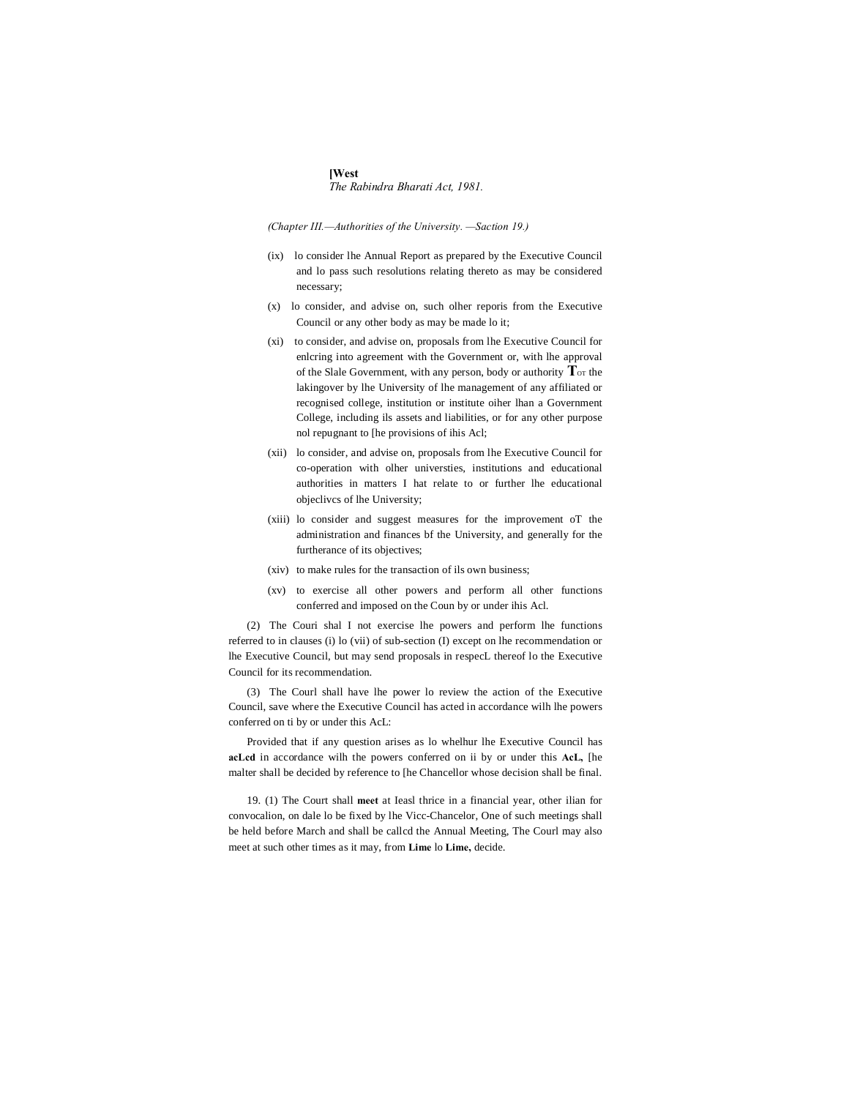**[West** *The Rabindra Bharati Act, 1981.*

*(Chapter III.—Authorities of the University. —Saction 19.)*

- (ix) lo consider lhe Annual Report as prepared by the Executive Council and lo pass such resolutions relating thereto as may be considered necessary;
- (x) lo consider, and advise on, such olher reporis from the Executive Council or any other body as may be made lo it;
- (xi) to consider, and advise on, proposals from lhe Executive Council for enlcring into agreement with the Government or, with lhe approval of the Slale Government, with any person, body or authority  $T_{\text{or}}$  the lakingover by lhe University of lhe management of any affiliated or recognised college, institution or institute oiher lhan a Government College, including ils assets and liabilities, or for any other purpose nol repugnant to [he provisions of ihis Acl;
- (xii) lo consider, and advise on, proposals from lhe Executive Council for co-operation with olher universties, institutions and educational authorities in matters I hat relate to or further lhe educational objeclivcs of lhe University;
- (xiii) lo consider and suggest measures for the improvement oT the administration and finances bf the University, and generally for the furtherance of its objectives;
- (xiv) to make rules for the transaction of ils own business;
- (xv) to exercise all other powers and perform all other functions conferred and imposed on the Coun by or under ihis Acl.

(2) The Couri shal I not exercise lhe powers and perform lhe functions referred to in clauses (i) lo (vii) of sub-section (I) except on lhe recommendation or lhe Executive Council, but may send proposals in respecL thereof lo the Executive Council for its recommendation.

(3) The Courl shall have lhe power lo review the action of the Executive Council, save where the Executive Council has acted in accordance wilh lhe powers conferred on ti by or under this AcL:

Provided that if any question arises as lo whelhur lhe Executive Council has **acLcd** in accordance wilh the powers conferred on ii by or under this **AcL,** [he malter shall be decided by reference to [he Chancellor whose decision shall be final.

19. (1) The Court shall **meet** at Ieasl thrice in a financial year, other ilian for convocalion, on dale lo be fixed by lhe Vicc-Chancelor, One of such meetings shall be held before March and shall be callcd the Annual Meeting, The Courl may also meet at such other times as it may, from **Lime** lo **Lime,** decide.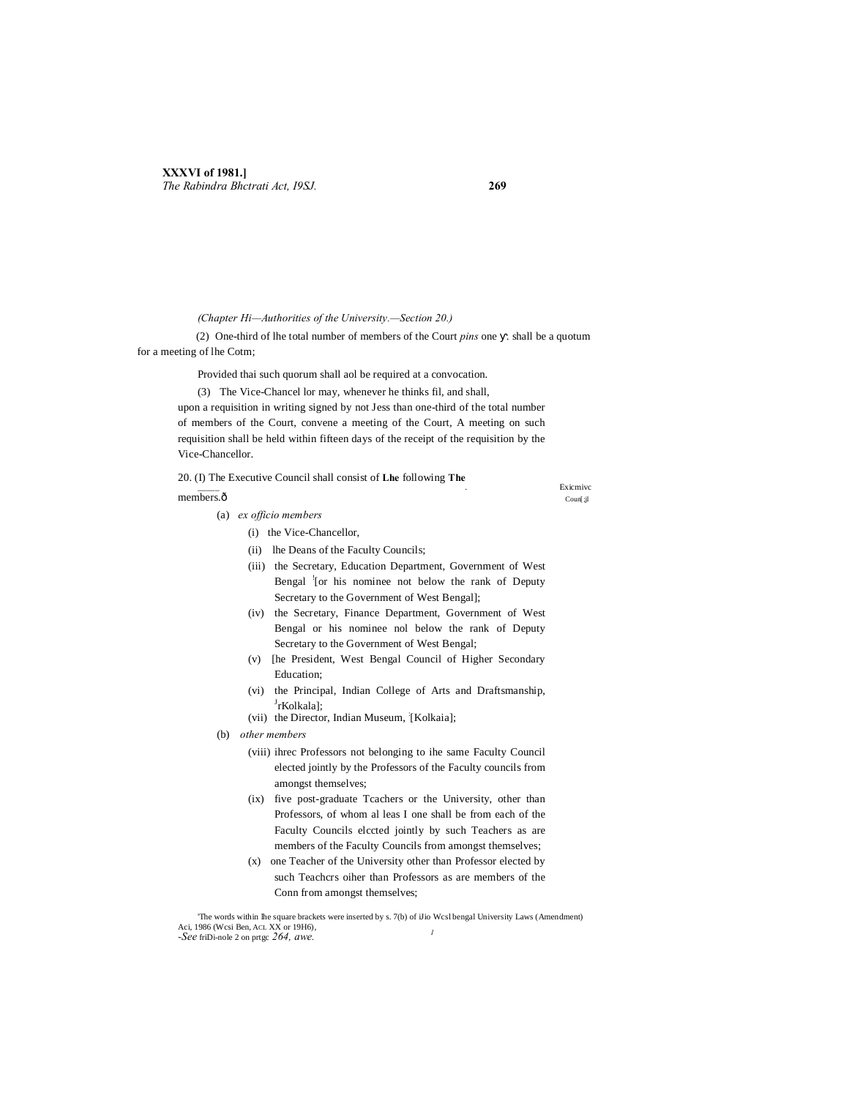*(Chapter Hi—Authorities of the University.—Section 20.)*

(2) One-third of lhe total number of members of the Court *pins* one . shall be a quotum for a meeting of lhe Cotm;

Provided thai such quorum shall aol be required at a convocation.

(3) The Vice-Chancel lor may, whenever he thinks fil, and shall,

upon a requisition in writing signed by not Jess than one-third of the total number of members of the Court, convene a meeting of the Court, A meeting on such requisition shall be held within fifteen days of the receipt of the requisition by the Vice-Chancellor.

20. (I) The Executive Council shall consist of **Lhe** following **The** \_\_\_\_\_ Bxicmivc ... Existence ... The existence of the existence of the existence of the existence of the existence of the existence of the existence of the existence of the existence of the existence of the existence of th  $\mu$  members. $\hat{\text{o}}$  coun[;jl]

- (a) *ex officio members*
	- (i) the Vice-Chancellor,
	- (ii) lhe Deans of the Faculty Councils;
	- (iii) the Secretary, Education Department, Government of West Bengal <sup>'</sup>[or his nominee not below the rank of Deputy Secretary to the Government of West Bengal];
	- (iv) the Secretary, Finance Department, Government of West Bengal or his nominee nol below the rank of Deputy Secretary to the Government of West Bengal;
	- (v) [he President, West Bengal Council of Higher Secondary Education;
	- (vi) the Principal, Indian College of Arts and Draftsmanship, <sup>J</sup>rKolkala];
	- (vii) the Director, Indian Museum, [Kolkaia];
- (b) *other members*
	- (viii) ihrec Professors not belonging to ihe same Faculty Council elected jointly by the Professors of the Faculty councils from amongst themselves;
	- (ix) five post-graduate Tcachers or the University, other than Professors, of whom al leas I one shall be from each of the Faculty Councils elccted jointly by such Teachers as are members of the Faculty Councils from amongst themselves;
	- (x) one Teacher of the University other than Professor elected by such Teachcrs oiher than Professors as are members of the Conn from amongst themselves;

'The words within lhe square brackets were inserted by s. 7(b) of iJio Wcsl bengal University Laws (Amendment) Aci, 1986 (Wcsi Ben, ACL XX or 19H6), *-See* friDi-nole 2 on prtgc *264, awe. <sup>1</sup>*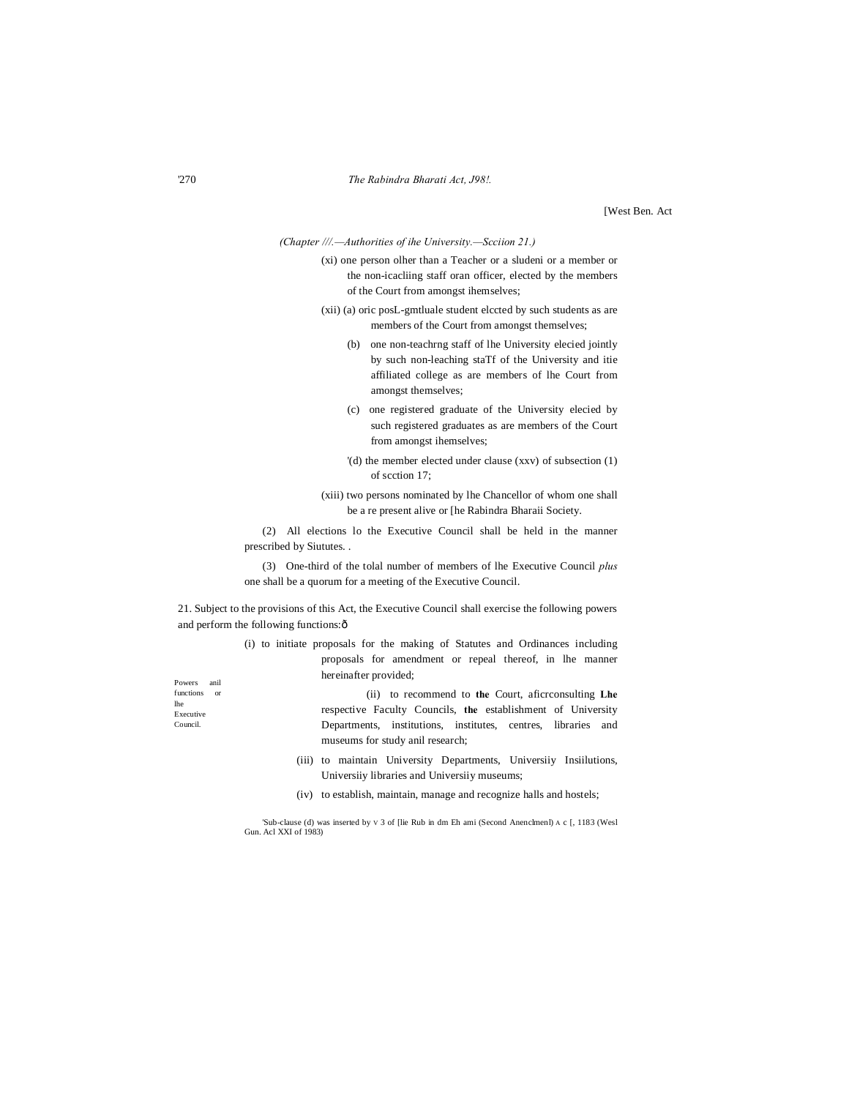[West Ben. Act

*(Chapter ///.—Authorities of ihe University.—Scciion 21.)*

(xi) one person olher than a Teacher or a sludeni or a member or the non-icacliing staff oran officer, elected by the members of the Court from amongst ihemselves;

- (xii) (a) oric posL-gmtluale student elccted by such students as are members of the Court from amongst themselves;
	- (b) one non-teachrng staff of lhe University elecied jointly by such non-leaching staTf of the University and itie affiliated college as are members of lhe Court from amongst themselves;
	- (c) one registered graduate of the University elecied by such registered graduates as are members of the Court from amongst ihemselves;
	- '(d) the member elected under clause (xxv) of subsection (1) of scction 17;
- (xiii) two persons nominated by lhe Chancellor of whom one shall be a re present alive or [he Rabindra Bharaii Society.

(2) All elections lo the Executive Council shall be held in the manner prescribed by Siututes. .

(3) One-third of the tolal number of members of lhe Executive Council *plus* one shall be a quorum for a meeting of the Executive Council.

21. Subject to the provisions of this Act, the Executive Council shall exercise the following powers and perform the following functions: ô

> (i) to initiate proposals for the making of Statutes and Ordinances including proposals for amendment or repeal thereof, in lhe manner hereinafter provided;

Powers anil functions or lhe Executive Council.

- (ii) to recommend to **the** Court, aficrconsulting **Lhe** respective Faculty Councils, **the** establishment of University Departments, institutions, institutes, centres, libraries and museums for study anil research;
- (iii) to maintain University Departments, Universiiy Insiilutions, Universiiy libraries and Universiiy museums;
- (iv) to establish, maintain, manage and recognize halls and hostels;

'Sub-clause (d) was inserted by V 3 of [lie Rub in dm Eh ami (Second Anenclmenl) A c [, 1183 (Wesl Gun. Acl XXI of 1983)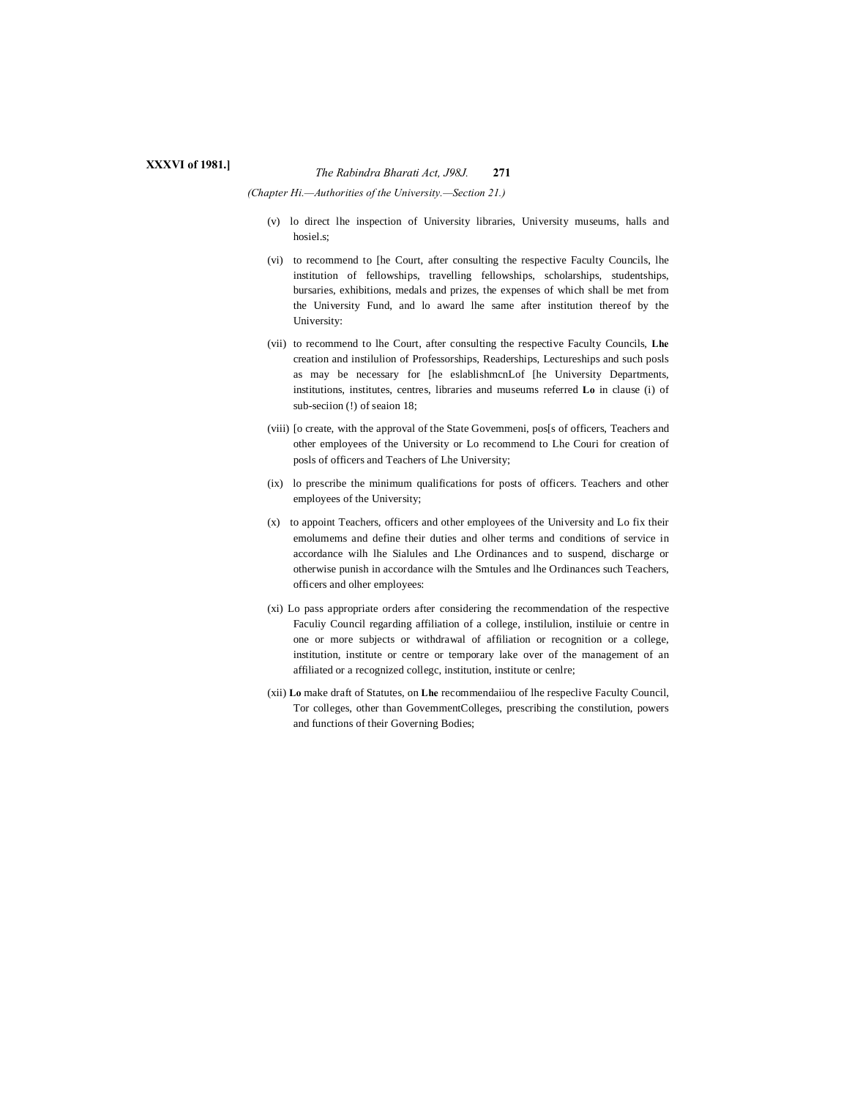# *The Rabindra Bharati Act, J98J.* **<sup>271</sup> XXXVI of 1981.]**

*(Chapter Hi.—Authorities of the University.—Section 21.)*

- (v) lo direct lhe inspection of University libraries, University museums, halls and hosiel.s;
- (vi) to recommend to [he Court, after consulting the respective Faculty Councils, lhe institution of fellowships, travelling fellowships, scholarships, studentships, bursaries, exhibitions, medals and prizes, the expenses of which shall be met from the University Fund, and lo award lhe same after institution thereof by the University:
- (vii) to recommend to lhe Court, after consulting the respective Faculty Councils, **Lhe** creation and instilulion of Professorships, Readerships, Lectureships and such posls as may be necessary for [he eslablishmcnLof [he University Departments, institutions, institutes, centres, libraries and museums referred **Lo** in clause (i) of sub-seciion (!) of seaion 18;
- (viii) [o create, with the approval of the State Govemmeni, pos[s of officers, Teachers and other employees of the University or Lo recommend to Lhe Couri for creation of posls of officers and Teachers of Lhe University;
- (ix) lo prescribe the minimum qualifications for posts of officers. Teachers and other employees of the University;
- (x) to appoint Teachers, officers and other employees of the University and Lo fix their emolumems and define their duties and olher terms and conditions of service in accordance wilh lhe Sialules and Lhe Ordinances and to suspend, discharge or otherwise punish in accordance wilh the Smtules and lhe Ordinances such Teachers, officers and olher employees:
- (xi) Lo pass appropriate orders after considering the recommendation of the respective Faculiy Council regarding affiliation of a college, instilulion, instiluie or centre in one or more subjects or withdrawal of affiliation or recognition or a college, institution, institute or centre or temporary lake over of the management of an affiliated or a recognized collegc, institution, institute or cenlre;
- (xii) **Lo** make draft of Statutes, on **Lhe** recommendaiiou of lhe respeclive Faculty Council, Tor colleges, other than GovemmentColleges, prescribing the constilution, powers and functions of their Governing Bodies;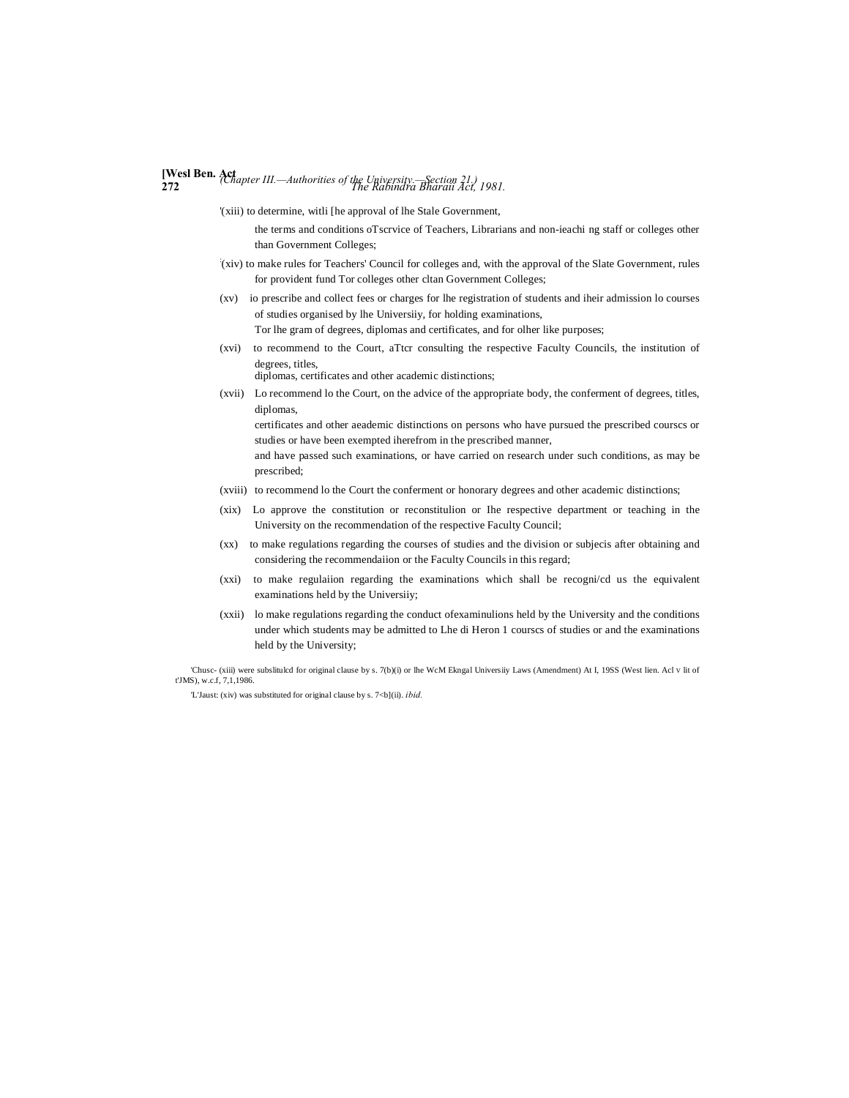# **[Wesl Ben. Act <sup>272</sup>** *The Rabindra Bharaii Act, 1981. (Chapter III.—Authorities of the University.—Section 21.)*

'(xiii) to determine, witli [he approval of lhe Stale Government,

the terms and conditions oTscrvice of Teachers, Librarians and non-ieachi ng staff or colleges other than Government Colleges;

- : (xiv) to make rules for Teachers' Council for colleges and, with the approval of the Slate Government, rules for provident fund Tor colleges other cltan Government Colleges;
- (xv) io prescribe and collect fees or charges for lhe registration of students and iheir admission lo courses of studies organised by lhe Universiiy, for holding examinations, Tor lhe gram of degrees, diplomas and certificates, and for olher like purposes;
- (xvi) to recommend to the Court, aTtcr consulting the respective Faculty Councils, the institution of degrees, titles,

diplomas, certificates and other academic distinctions;

(xvii) Lo recommend lo the Court, on the advice of the appropriate body, the conferment of degrees, titles, diplomas,

certificates and other aeademic distinctions on persons who have pursued the prescribed courscs or studies or have been exempted iherefrom in the prescribed manner,

and have passed such examinations, or have carried on research under such conditions, as may be prescribed;

- (xviii) to recommend lo the Court the conferment or honorary degrees and other academic distinctions;
- (xix) Lo approve the constitution or reconstitulion or Ihe respective department or teaching in the University on the recommendation of the respective Faculty Council;
- (xx) to make regulations regarding the courses of studies and the division or subjecis after obtaining and considering the recommendaiion or the Faculty Councils in this regard;
- (xxi) to make regulaiion regarding the examinations which shall be recogni/cd us the equivalent examinations held by the Universiiy;
- (xxii) lo make regulations regarding the conduct ofexaminulions held by the University and the conditions under which students may be admitted to Lhe di Heron 1 courscs of studies or and the examinations held by the University;

'Chusc- (xiii) were subslitulcd for original clause by s. 7(b)(i) or lhe WcM Ekngal Universiiy Laws (Amendment) At I, 19SS (West lien. Acl V lit of t'JMS), w.c.f, 7,1,1986.

'L'Jaust: (xiv) was substituted for original clause by s. 7<b](ii). *ibid.*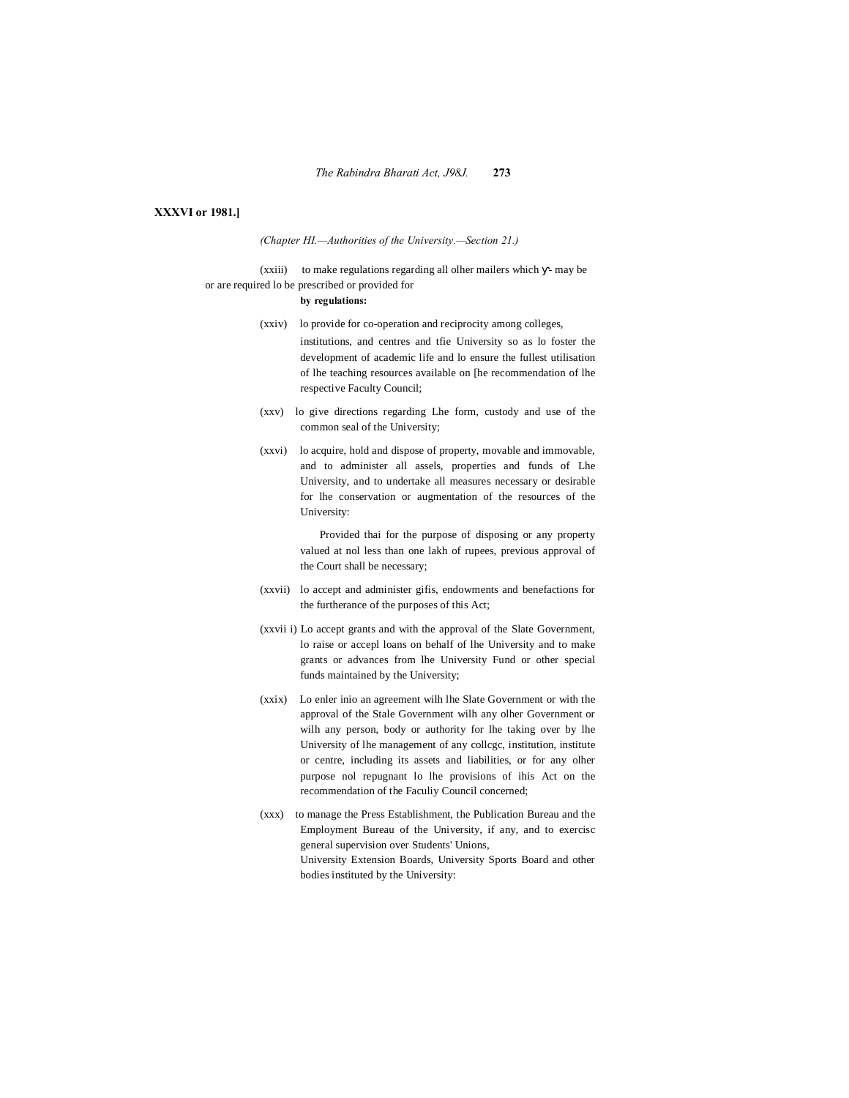# **XXXVI or 1981.]**

*(Chapter HI.—Authorities of the University.—Section 21.)*

(xxiii) to make regulations regarding all olher mailers which - may be or are required lo be prescribed or provided for

# **by regulations:**

- (xxiv) lo provide for co-operation and reciprocity among colleges, institutions, and centres and tfie University so as lo foster the development of academic life and lo ensure the fullest utilisation of lhe teaching resources available on [he recommendation of lhe respective Faculty Council;
- (xxv) lo give directions regarding Lhe form, custody and use of the common seal of the University;
- (xxvi) lo acquire, hold and dispose of property, movable and immovable, and to administer all assels, properties and funds of Lhe University, and to undertake all measures necessary or desirable for lhe conservation or augmentation of the resources of the University:

Provided thai for the purpose of disposing or any property valued at nol less than one lakh of rupees, previous approval of the Court shall be necessary;

- (xxvii) lo accept and administer gifis, endowments and benefactions for the furtherance of the purposes of this Act;
- (xxvii i) Lo accept grants and with the approval of the Slate Government, lo raise or accepl loans on behalf of lhe University and to make grants or advances from lhe University Fund or other special funds maintained by the University;
- (xxix) Lo enler inio an agreement wilh lhe Slate Government or with the approval of the Stale Government wilh any olher Government or wilh any person, body or authority for lhe taking over by lhe University of lhe management of any collcgc, institution, institute or centre, including its assets and liabilities, or for any olher purpose nol repugnant lo lhe provisions of ihis Act on the recommendation of the Faculiy Council concerned;
- (xxx) to manage the Press Establishment, the Publication Bureau and the Employment Bureau of the University, if any, and to exercisc general supervision over Students' Unions, University Extension Boards, University Sports Board and other bodies instituted by the University: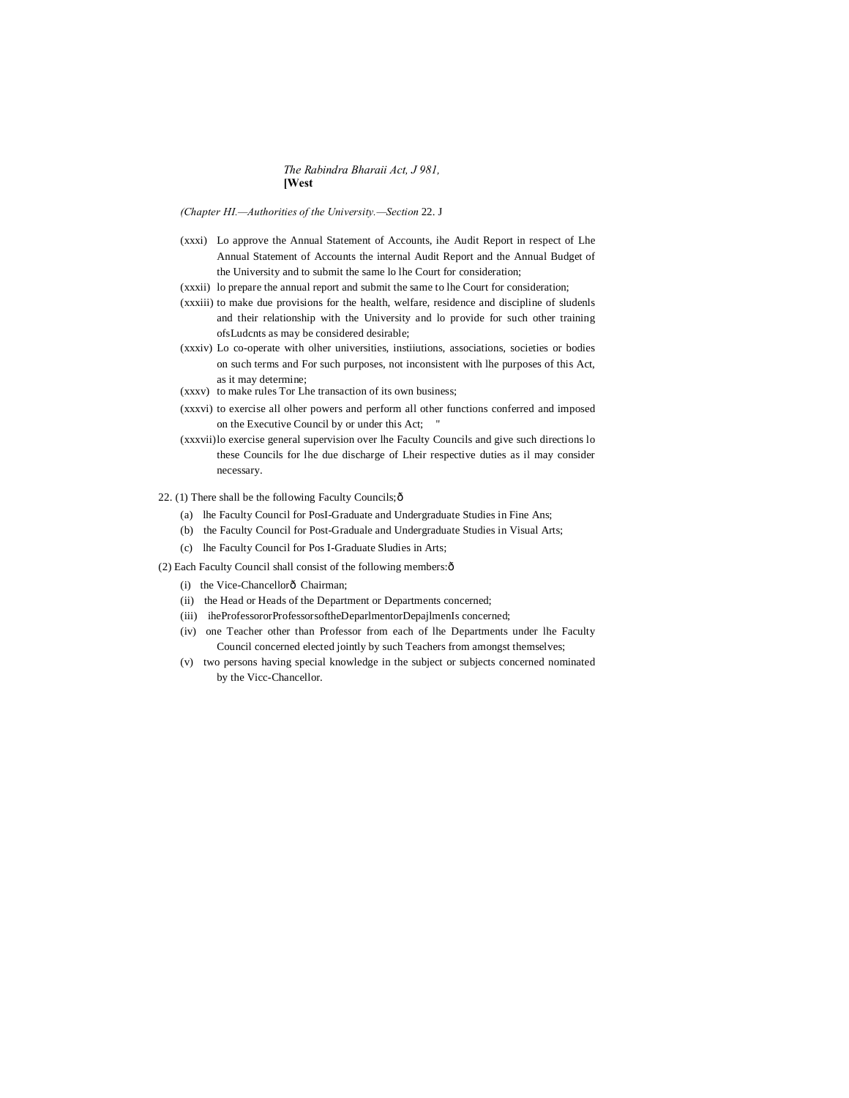# *The Rabindra Bharaii Act, J 981,* **[West**

*(Chapter HI.—Authorities of the University.—Section* 22. J

- (xxxi) Lo approve the Annual Statement of Accounts, ihe Audit Report in respect of Lhe Annual Statement of Accounts the internal Audit Report and the Annual Budget of the University and to submit the same lo lhe Court for consideration;
- (xxxii) lo prepare the annual report and submit the same to lhe Court for consideration;
- (xxxiii) to make due provisions for the health, welfare, residence and discipline of sludenls and their relationship with the University and lo provide for such other training ofsLudcnts as may be considered desirable;
- (xxxiv) Lo co-operate with olher universities, instiiutions, associations, societies or bodies on such terms and For such purposes, not inconsistent with lhe purposes of this Act, as it may determine;
- (xxxv) to make rules Tor Lhe transaction of its own business;
- (xxxvi) to exercise all olher powers and perform all other functions conferred and imposed on the Executive Council by or under this Act; "
- (xxxvii)lo exercise general supervision over lhe Faculty Councils and give such directions lo these Councils for lhe due discharge of Lheir respective duties as il may consider necessary.
- 22. (1) There shall be the following Faculty Councils; $\delta$ 
	- (a) lhe Faculty Council for PosI-Graduate and Undergraduate Studies in Fine Ans;
	- (b) the Faculty Council for Post-Graduale and Undergraduate Studies in Visual Arts;
	- (c) lhe Faculty Council for Pos I-Graduate Sludies in Arts;
- (2) Each Faculty Council shall consist of the following members: $\hat{o}$ 
	- (i) the Vice-Chancellorô Chairman;
	- (ii) the Head or Heads of the Department or Departments concerned;
	- (iii) iheProfessororProfessorsoftheDeparlmentorDepajlmenIs concerned;
	- (iv) one Teacher other than Professor from each of lhe Departments under lhe Faculty Council concerned elected jointly by such Teachers from amongst themselves;
	- (v) two persons having special knowledge in the subject or subjects concerned nominated by the Vicc-Chancellor.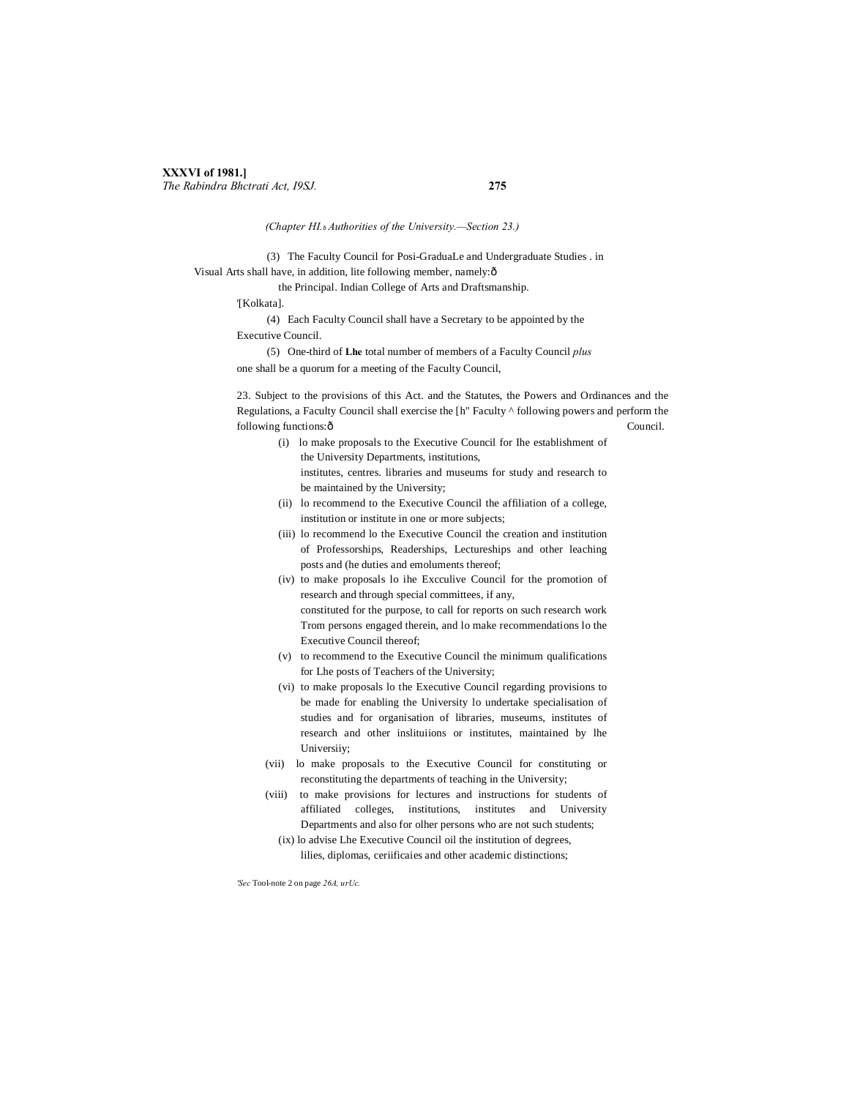*(Chapter HI.*—*Authorities of the University.—Section 23.)*

(3) The Faculty Council for Posi-GraduaLe and Undergraduate Studies . in Visual Arts shall have, in addition, lite following member, namely:—

the Principal. Indian College of Arts and Draftsmanship.

'[Kolkata].

(4) Each Faculty Council shall have a Secretary to be appointed by the Executive Council.

(5) One-third of **Lhe** total number of members of a Faculty Council *plus* one shall be a quorum for a meeting of the Faculty Council,

23. Subject to the provisions of this Act. and the Statutes, the Powers and Ordinances and the Regulations, a Faculty Council shall exercise the [h" Faculty ^ following powers and perform the following functions: $\delta$  Council.

- (i) lo make proposals to the Executive Council for Ihe establishment of the University Departments, institutions, institutes, centres. libraries and museums for study and research to be maintained by the University;
- (ii) lo recommend to the Executive Council the affiliation of a college, institution or institute in one or more subjects;
- (iii) lo recommend lo the Executive Council the creation and institution of Professorships, Readerships, Lectureships and other leaching posts and (he duties and emoluments thereof;
- (iv) to make proposals lo ihe Excculive Council for the promotion of research and through special committees, if any, constituted for the purpose, to call for reports on such research work Trom persons engaged therein, and lo make recommendations lo the Executive Council thereof;
- (v) to recommend to the Executive Council the minimum qualifications for Lhe posts of Teachers of the University;
- (vi) to make proposals lo the Executive Council regarding provisions to be made for enabling the University lo undertake specialisation of studies and for organisation of libraries, museums, institutes of research and other inslituiions or institutes, maintained by lhe Universiiy;
- (vii) lo make proposals to the Executive Council for constituting or reconstituting the departments of teaching in the University;
- (viii) to make provisions for lectures and instructions for students of affiliated colleges, institutions, institutes and University Departments and also for olher persons who are not such students;
	- (ix) lo advise Lhe Executive Council oil the institution of degrees, lilies, diplomas, ceriificaies and other academic distinctions;

*'Sec* Tool-note 2 on page *26A, urUc.*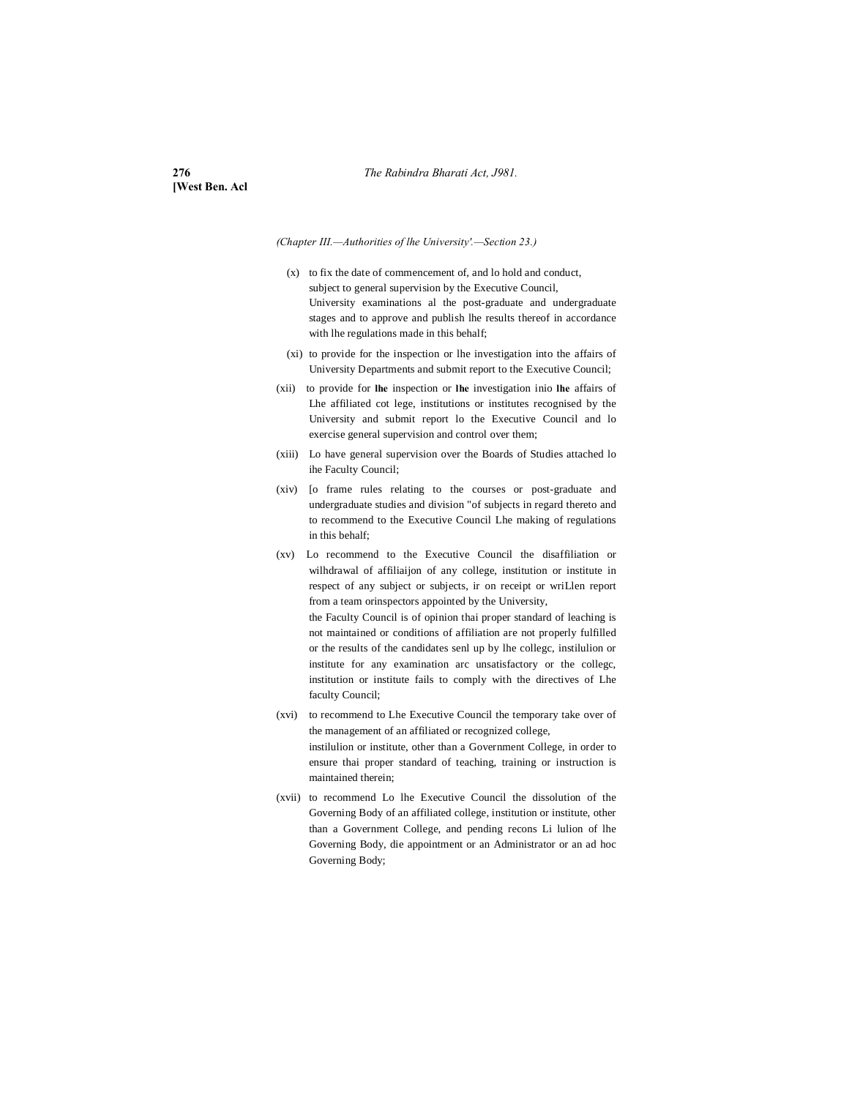**[West Ben. Acl**

*(Chapter III.—Authorities of lhe University'.—Section 23.)*

- (x) to fix the date of commencement of, and lo hold and conduct, subject to general supervision by the Executive Council, University examinations al the post-graduate and undergraduate stages and to approve and publish lhe results thereof in accordance with lhe regulations made in this behalf;
- (xi) to provide for the inspection or lhe investigation into the affairs of University Departments and submit report to the Executive Council;
- (xii) to provide for **lhe** inspection or **lhe** investigation inio **lhe** affairs of Lhe affiliated cot lege, institutions or institutes recognised by the University and submit report lo the Executive Council and lo exercise general supervision and control over them;
- (xiii) Lo have general supervision over the Boards of Studies attached lo ihe Faculty Council;
- (xiv) [o frame rules relating to the courses or post-graduate and undergraduate studies and division "of subjects in regard thereto and to recommend to the Executive Council Lhe making of regulations in this behalf;
- (xv) Lo recommend to the Executive Council the disaffiliation or wilhdrawal of affiliaijon of any college, institution or institute in respect of any subject or subjects, ir on receipt or wriLlen report from a team orinspectors appointed by the University,

the Faculty Council is of opinion thai proper standard of leaching is not maintained or conditions of affiliation are not properly fulfilled or the results of the candidates senl up by lhe collegc, instilulion or institute for any examination arc unsatisfactory or the collegc, institution or institute fails to comply with the directives of Lhe faculty Council;

- (xvi) to recommend to Lhe Executive Council the temporary take over of the management of an affiliated or recognized college, instilulion or institute, other than a Government College, in order to ensure thai proper standard of teaching, training or instruction is maintained therein;
- (xvii) to recommend Lo lhe Executive Council the dissolution of the Governing Body of an affiliated college, institution or institute, other than a Government College, and pending recons Li lulion of lhe Governing Body, die appointment or an Administrator or an ad hoc Governing Body;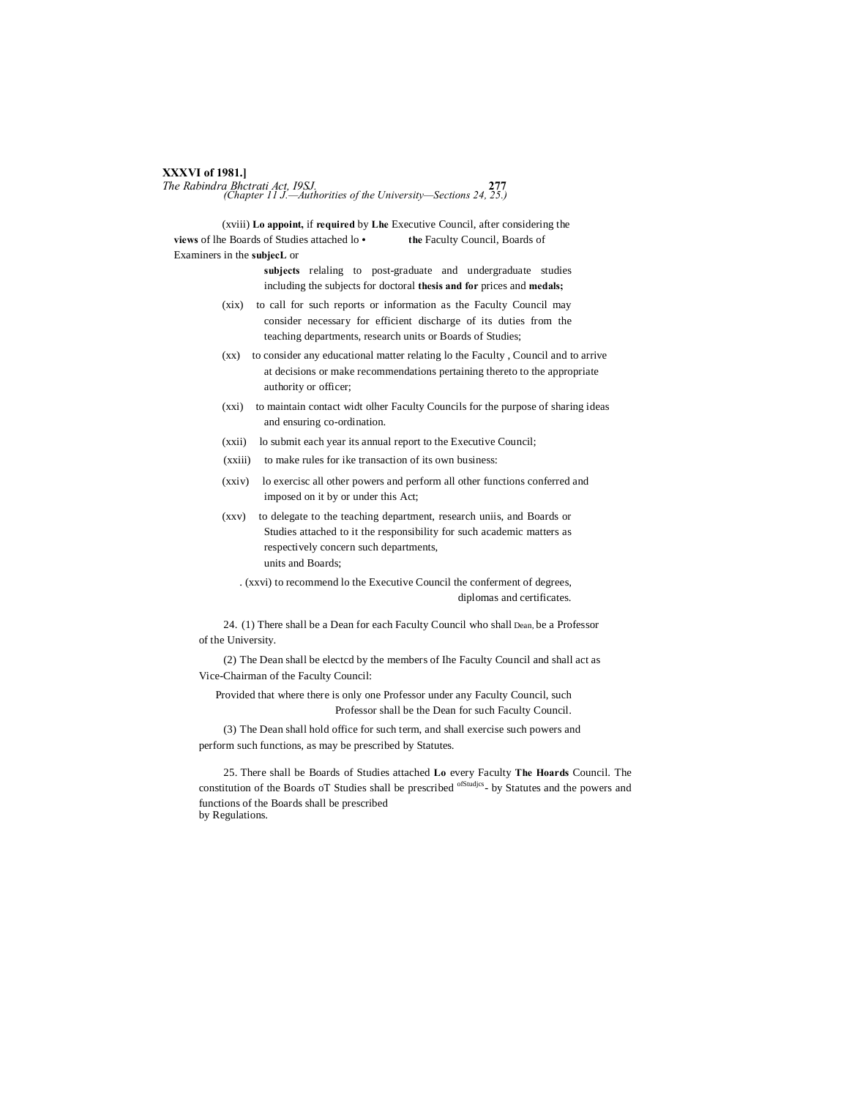# **XXXVI of 1981.]**

*The Rabindra Bhctrati Act, I9SJ.* **277** *(Chapter 11 J.—Authorities of the University—Sections 24, 25.)*

(xviii) **Lo appoint,** if **required** by **Lhe** Executive Council, after considering the **views** of lhe Boards of Studies attached lo **• the** Faculty Council, Boards of Examiners in the **subjecL** or

> **subjects** relaling to post-graduate and undergraduate studies including the subjects for doctoral **thesis and for** prices and **medals;**

- (xix) to call for such reports or information as the Faculty Council may consider necessary for efficient discharge of its duties from the teaching departments, research units or Boards of Studies;
- (xx) to consider any educational matter relating lo the Faculty , Council and to arrive at decisions or make recommendations pertaining thereto to the appropriate authority or officer;
- (xxi) to maintain contact widt olher Faculty Councils for the purpose of sharing ideas and ensuring co-ordination.
- (xxii) lo submit each year its annual report to the Executive Council;
- (xxiii) to make rules for ike transaction of its own business:
- (xxiv) lo exercisc all other powers and perform all other functions conferred and imposed on it by or under this Act;
- (xxv) to delegate to the teaching department, research uniis, and Boards or Studies attached to it the responsibility for such academic matters as respectively concern such departments, units and Boards;

. (xxvi) to recommend lo the Executive Council the conferment of degrees, diplomas and certificates.

24. (1) There shall be a Dean for each Faculty Council who shall Dean, be a Professor of the University.

(2) The Dean shall be electcd by the members of Ihe Faculty Council and shall act as Vice-Chairman of the Faculty Council:

Provided that where there is only one Professor under any Faculty Council, such Professor shall be the Dean for such Faculty Council.

(3) The Dean shall hold office for such term, and shall exercise such powers and perform such functions, as may be prescribed by Statutes.

25. There shall be Boards of Studies attached **Lo** every Faculty **The Hoards** Council. The constitution of the Boards oT Studies shall be prescribed <sup>ofStudies</sup>- by Statutes and the powers and functions of the Boards shall be prescribed by Regulations.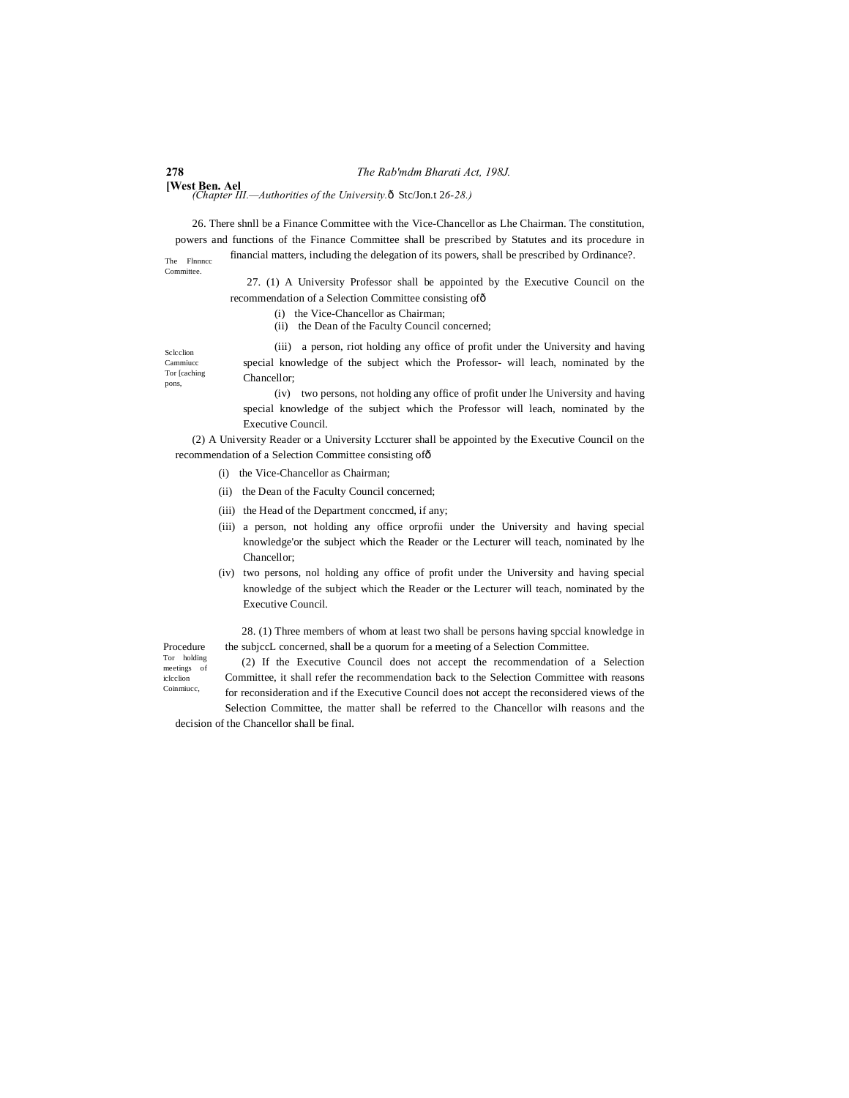**278** *The Rab'mdm Bharati Act, 198J.*

**[West Ben. Ael** *(Chapter III.—Authorities of the University.*  $\hat{\text{o}}$  Stc/Jon.t 2*6-28.*)

The Flnnncc 26. There shnll be a Finance Committee with the Vice-Chancellor as Lhe Chairman. The constitution, powers and functions of the Finance Committee shall be prescribed by Statutes and its procedure in financial matters, including the delegation of its powers, shall be prescribed by Ordinance?.

Committee.

Sclcclion Cammiuce

pons,

27. (1) A University Professor shall be appointed by the Executive Council on the recommendation of a Selection Committee consisting of—

- (i) the Vice-Chancellor as Chairman;
- (ii) the Dean of the Faculty Council concerned;

Tor [caching (iii) a person, riot holding any office of profit under the University and having special knowledge of the subject which the Professor- will leach, nominated by the Chancellor;

> (iv) two persons, not holding any office of profit under lhe University and having special knowledge of the subject which the Professor will leach, nominated by the Executive Council.

(2) A University Reader or a University Lccturer shall be appointed by the Executive Council on the recommendation of a Selection Committee consisting of—

- (i) the Vice-Chancellor as Chairman;
- (ii) the Dean of the Faculty Council concerned;
- (iii) the Head of the Department conccmed, if any;
- (iii) a person, not holding any office orprofii under the University and having special knowledge'or the subject which the Reader or the Lecturer will teach, nominated by lhe Chancellor;
- (iv) two persons, nol holding any office of profit under the University and having special knowledge of the subject which the Reader or the Lecturer will teach, nominated by the Executive Council.

28. (1) Three members of whom at least two shall be persons having spccial knowledge in the subjccL concerned, shall be a quorum for a meeting of a Selection Committee.

Procedure Tor holding meetings of iclcclion Coinmiucc,

(2) If the Executive Council does not accept the recommendation of a Selection Committee, it shall refer the recommendation back to the Selection Committee with reasons for reconsideration and if the Executive Council does not accept the reconsidered views of the Selection Committee, the matter shall be referred to the Chancellor wilh reasons and the

decision of the Chancellor shall be final.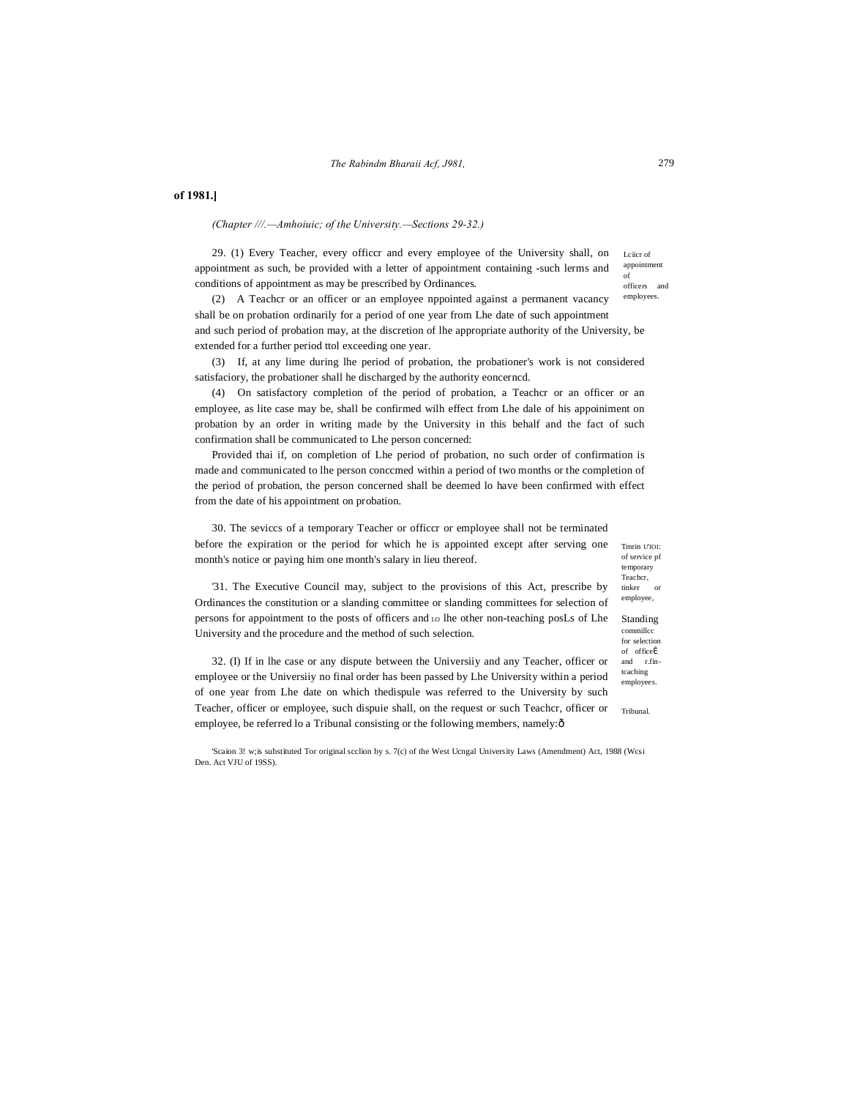# **of 1981.]**

*(Chapter ///.—Amhoiuic; of the University.—Sections 29-32.)*

Lciicr of appointment of officers and 29. (1) Every Teacher, every officcr and every employee of the University shall, on appointment as such, be provided with a letter of appointment containing -such lerms and conditions of appointment as may be prescribed by Ordinances.

employees. (2) A Teachcr or an officer or an employee nppointed against a permanent vacancy shall be on probation ordinarily for a period of one year from Lhe date of such appointment and such period of probation may, at the discretion of lhe appropriate authority of the University, be extended for a further period ttol exceeding one year.

(3) If, at any lime during lhe period of probation, the probationer's work is not considered satisfaciory, the probationer shall he discharged by the authority eoncerncd.

(4) On satisfactory completion of the period of probation, a Teachcr or an officer or an employee, as lite case may be, shall be confirmed wilh effect from Lhe dale of his appoiniment on probation by an order in writing made by the University in this behalf and the fact of such confirmation shall be communicated to Lhe person concerned:

Provided thai if, on completion of Lhe period of probation, no such order of confirmation is made and communicated to lhe person conccmed within a period of two months or the completion of the period of probation, the person concerned shall be deemed lo have been confirmed with effect from the date of his appointment on probation.

30. The seviccs of a temporary Teacher or officcr or employee shall not be terminated before the expiration or the period for which he is appointed except after serving one month's notice or paying him one month's salary in lieu thereof.

of service pf temporary Teachcr, tinker or

'31. The Executive Council may, subject to the provisions of this Act, prescribe by Ordinances the constitution or a slanding committee or slanding committees for selection of persons for appointment to the posts of officers and LO lhe other non-teaching posLs of Lhe University and the procedure and the method of such selection.

32. (I) If in lhe case or any dispute between the Universiiy and any Teacher, officer or employee or the Universiiy no final order has been passed by Lhe University within a period of one year from Lhe date on which thedispule was referred to the University by such Teacher, officer or employee, such dispuie shall, on the request or such Teachcr, officer or employee, be referred lo a Tribunal consisting or the following members, namely: ô

'Scaion 3! w;is substituted Tor original scclion by s. 7(c) of the West Ucngal University Laws (Amendment) Act, 1988 (Wcsi Den. Act VJU of 19SS).

Tmrin U'IOI: employee,

Standing commillcc for selection of officeÎ and r.fintcaching employees.

Tribunal.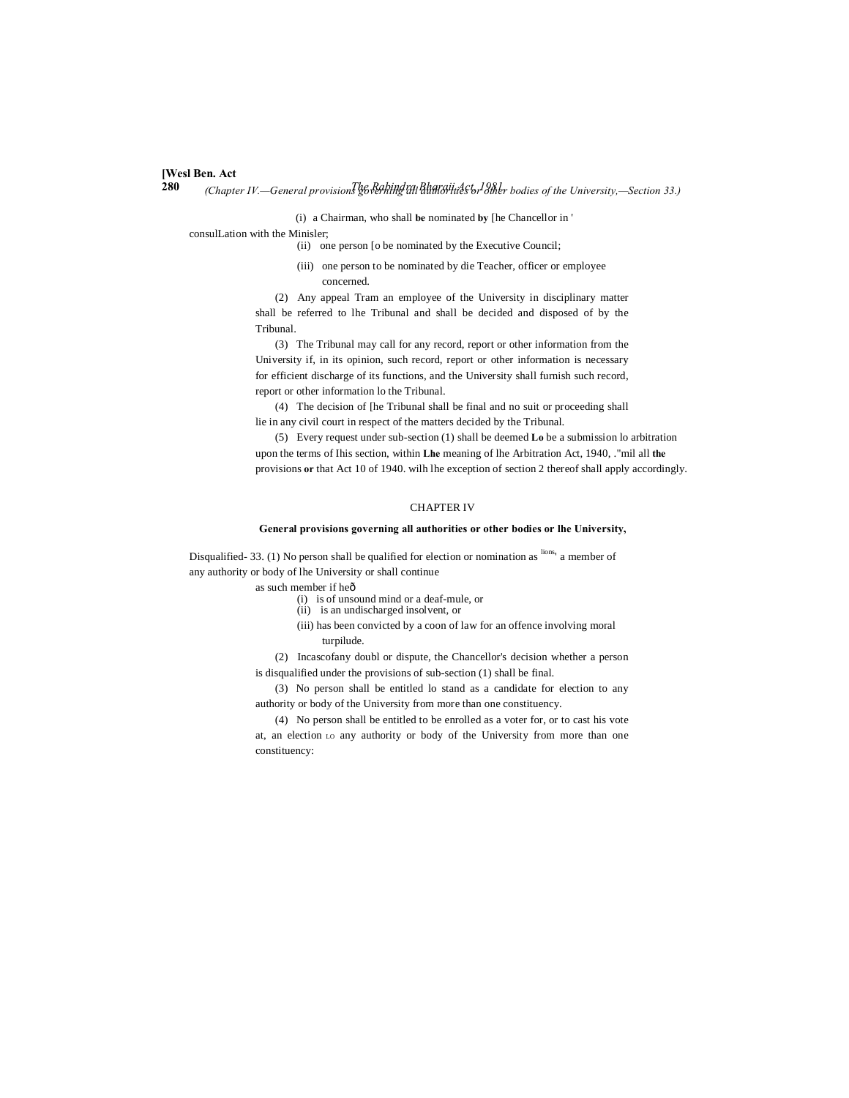# **[Wesl Ben. Act**

**280** *The Rabindra Bharaii Act, 1981. (Chapter IV.—General provisions governing all authorities or other bodies of the University,—Section 33.)*

(i) a Chairman, who shall **be** nominated **by** [he Chancellor in '

consulLation with the Minisler;

(ii) one person [o be nominated by the Executive Council;

(iii) one person to be nominated by die Teacher, officer or employee concerned.

(2) Any appeal Tram an employee of the University in disciplinary matter shall be referred to lhe Tribunal and shall be decided and disposed of by the Tribunal.

(3) The Tribunal may call for any record, report or other information from the University if, in its opinion, such record, report or other information is necessary for efficient discharge of its functions, and the University shall furnish such record, report or other information lo the Tribunal.

(4) The decision of [he Tribunal shall be final and no suit or proceeding shall lie in any civil court in respect of the matters decided by the Tribunal.

(5) Every request under sub-section (1) shall be deemed **Lo** be a submission lo arbitration upon the terms of Ihis section, within **Lhe** meaning of lhe Arbitration Act, 1940, ."mil all **the** provisions **or** that Act 10 of 1940. wilh lhe exception of section 2 thereof shall apply accordingly.

### CHAPTER IV

# **General provisions governing all authorities or other bodies or lhe University,**

Disqualified-33. (1) No person shall be qualified for election or nomination as lions' a member of any authority or body of lhe University or shall continue

as such member if heô

- (i) is of unsound mind or a deaf-mule, or
- (ii) is an undischarged insolvent, or
- (iii) has been convicted by a coon of law for an offence involving moral turpilude.

(2) Incascofany doubl or dispute, the Chancellor's decision whether a person is disqualified under the provisions of sub-section (1) shall be final.

(3) No person shall be entitled lo stand as a candidate for election to any authority or body of the University from more than one constituency.

(4) No person shall be entitled to be enrolled as a voter for, or to cast his vote at, an election LO any authority or body of the University from more than one constituency: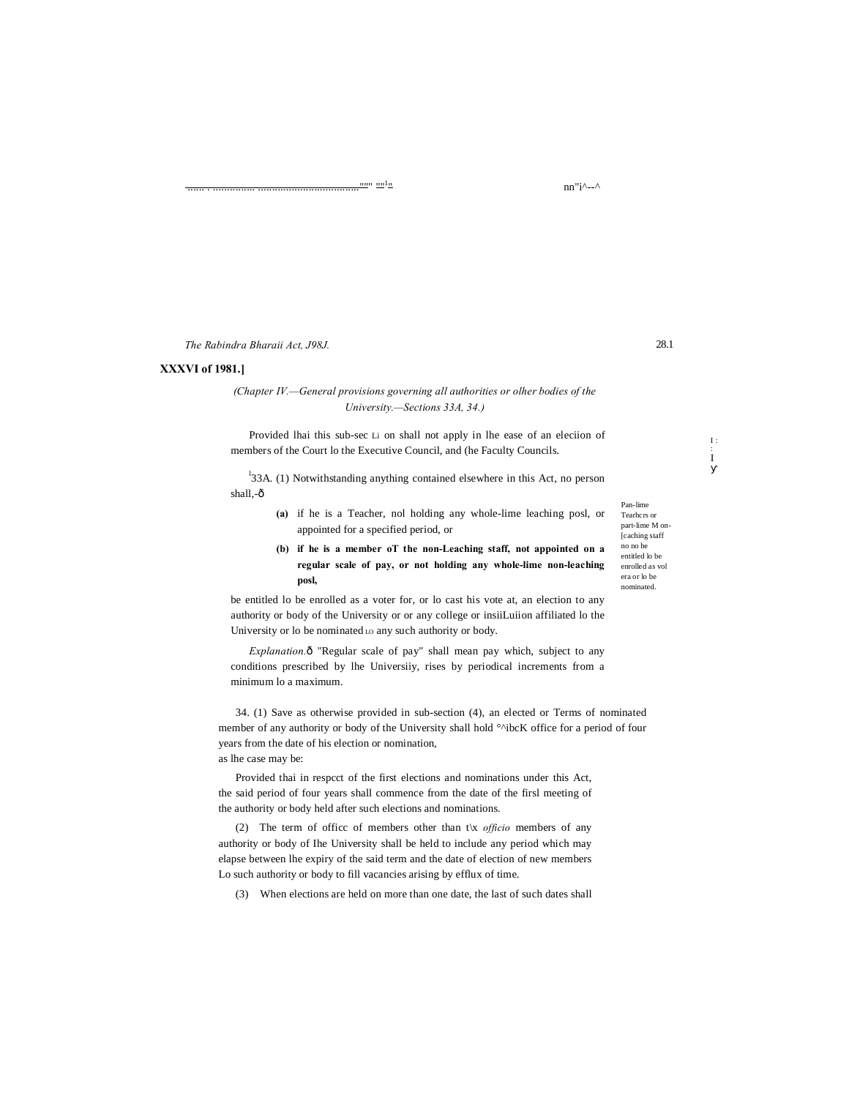The Rabindra Bharaii Act, J98J.

# **XXXVI of 1981.1**

# (Chapter IV.—General provisions governing all authorities or olher bodies of the University.-Sections 33A, 34.)

Provided lhai this sub-sec Li on shall not apply in lhe ease of an election of members of the Court lo the Executive Council, and (he Faculty Councils.

<sup>1</sup>33A. (1) Notwithstanding anything contained elsewhere in this Act, no person shall,-ô

- (a) if he is a Teacher, not holding any whole-lime leaching post, or appointed for a specified period, or
- (b) if he is a member oT the non-Leaching staff, not appointed on a regular scale of pay, or not holding any whole-lime non-leaching posl,

be entitled lo be enrolled as a voter for, or lo cast his vote at, an election to any authority or body of the University or or any college or insiiLuiion affiliated lo the University or lo be nominated Lo any such authority or body.

Explanation.ô "Regular scale of pay" shall mean pay which, subject to any conditions prescribed by lhe University, rises by periodical increments from a minimum lo a maximum.

34. (1) Save as otherwise provided in sub-section (4), an elected or Terms of nominated member of any authority or body of the University shall hold °^ibcK office for a period of four years from the date of his election or nomination, as lhe case may be:

Provided thai in respect of the first elections and nominations under this Act, the said period of four years shall commence from the date of the firsl meeting of the authority or body held after such elections and nominations.

(2) The term of office of members other than t\x officio members of any authority or body of Ihe University shall be held to include any period which may elapse between lhe expiry of the said term and the date of election of new members Lo such authority or body to fill vacancies arising by efflux of time.

(3) When elections are held on more than one date, the last of such dates shall

Pan-lime Tearhers or part-lime M on **Icaching** staff no no be entitled lo be enrolled as vol era or lo be nominated.

28.1

 $I:$ 

Ì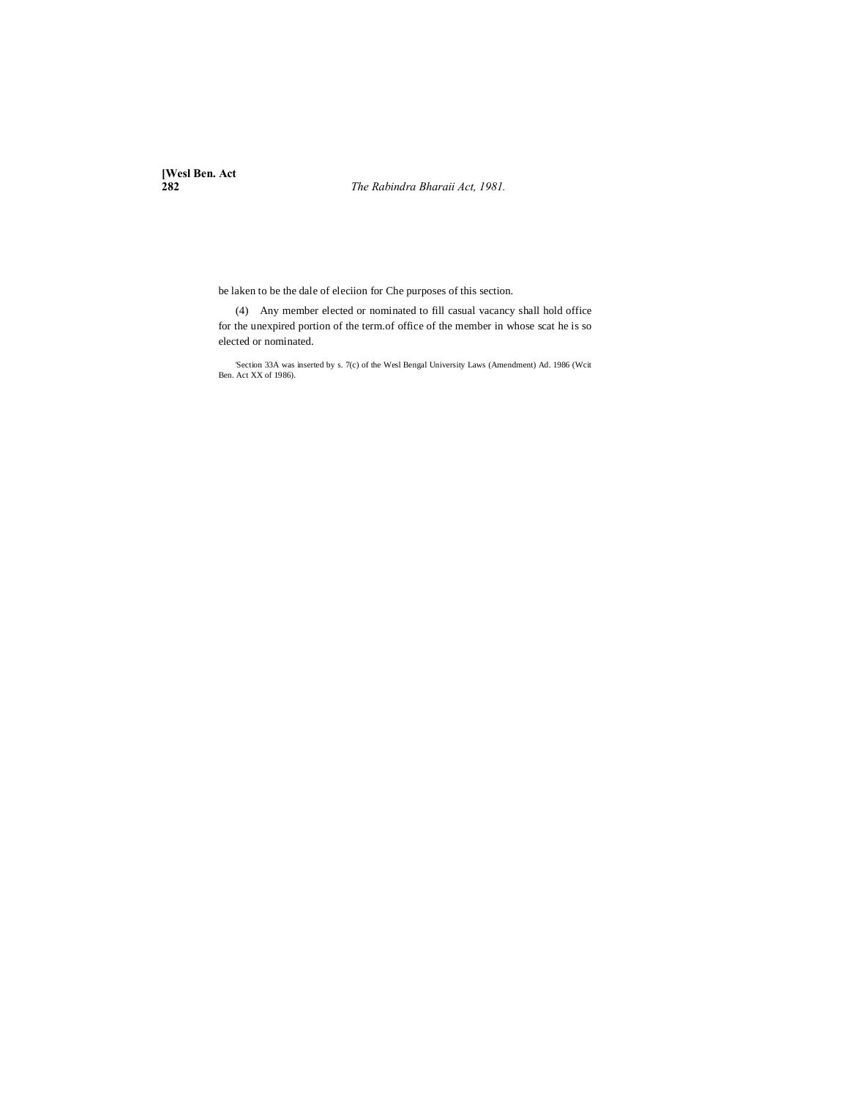**[Wesl Ben. Act**

**282** *The Rabindra Bharaii Act, 1981.*

be laken to be the dale of eleciion for Che purposes of this section.

(4) Any member elected or nominated to fill casual vacancy shall hold office for the unexpired portion of the term.of office of the member in whose scat he is so elected or nominated.

'Section 33A was inserted by s. 7(c) of the Wesl Bengal University Laws (Amendment) Ad. 1986 (Wcit Ben. Act XX of 1986).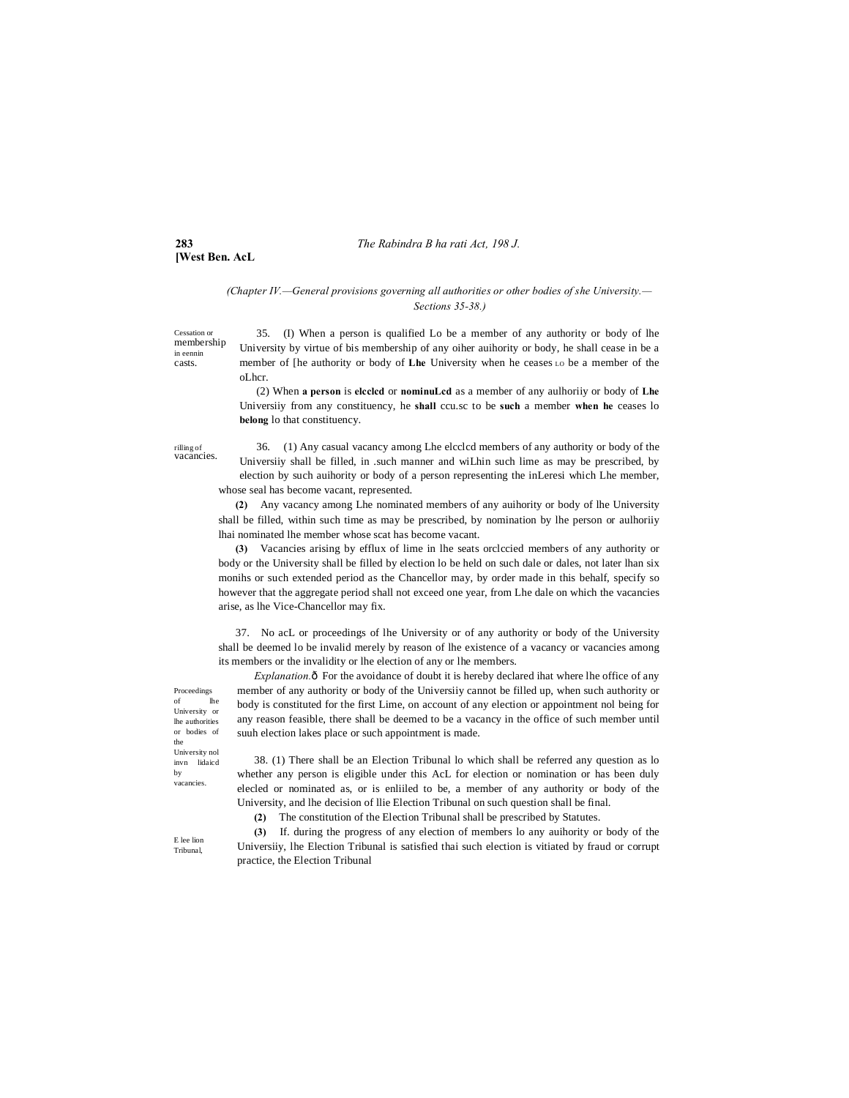# **283** *The Rabindra B ha rati Act, 198 J.*

# *(Chapter IV.—General provisions governing all authorities or other bodies of she University.— Sections 35-38.)*

membership 35. (I) When a person is qualified Lo be a member of any authority or body of lhe University by virtue of bis membership of any oiher auihority or body, he shall cease in be a member of [he authority or body of **Lhe** University when he ceases LO be a member of the oLhcr.

> (2) When **a person** is **elcclcd** or **nominuLcd** as a member of any aulhoriiy or body of **Lhe** Universiiy from any constituency, he **shall** ccu.sc to be **such** a member **when he** ceases lo **belong** lo that constituency.

rilling of vacancies.

Cessation or

in eennin casts.

**[West Ben. AcL**

36. (1) Any casual vacancy among Lhe elcclcd members of any authority or body of the Universiiy shall be filled, in .such manner and wiLhin such lime as may be prescribed, by election by such auihority or body of a person representing the inLeresi which Lhe member, whose seal has become vacant, represented.

**(2)** Any vacancy among Lhe nominated members of any auihority or body of lhe University shall be filled, within such time as may be prescribed, by nomination by lhe person or aulhoriiy lhai nominated lhe member whose scat has become vacant.

**(3)** Vacancies arising by efflux of lime in lhe seats orclccied members of any authority or body or the University shall be filled by election lo be held on such dale or dales, not later lhan six monihs or such extended period as the Chancellor may, by order made in this behalf, specify so however that the aggregate period shall not exceed one year, from Lhe dale on which the vacancies arise, as lhe Vice-Chancellor may fix.

37. No acL or proceedings of lhe University or of any authority or body of the University shall be deemed lo be invalid merely by reason of lhe existence of a vacancy or vacancies among its members or the invalidity or lhe election of any or lhe members.

*Explanation.* $\hat{o}$  For the avoidance of doubt it is hereby declared ihat where lhe office of any member of any authority or body of the Universiiy cannot be filled up, when such authority or body is constituted for the first Lime, on account of any election or appointment nol being for any reason feasible, there shall be deemed to be a vacancy in the office of such member until suuh election lakes place or such appointment is made.

38. (1) There shall be an Election Tribunal lo which shall be referred any question as lo whether any person is eligible under this AcL for election or nomination or has been duly elecled or nominated as, or is enliiled to be, a member of any authority or body of the University, and lhe decision of llie Election Tribunal on such question shall be final.

**(2)** The constitution of the Election Tribunal shall be prescribed by Statutes.

**(3)** If. during the progress of any election of members lo any auihority or body of the Universiiy, lhe Election Tribunal is satisfied thai such election is vitiated by fraud or corrupt practice, the Election Tribunal

Proceedings of lhe University or lhe authorities or bodies of the University nol invn lidaicd by vacancies.

E lee lion Tribunal,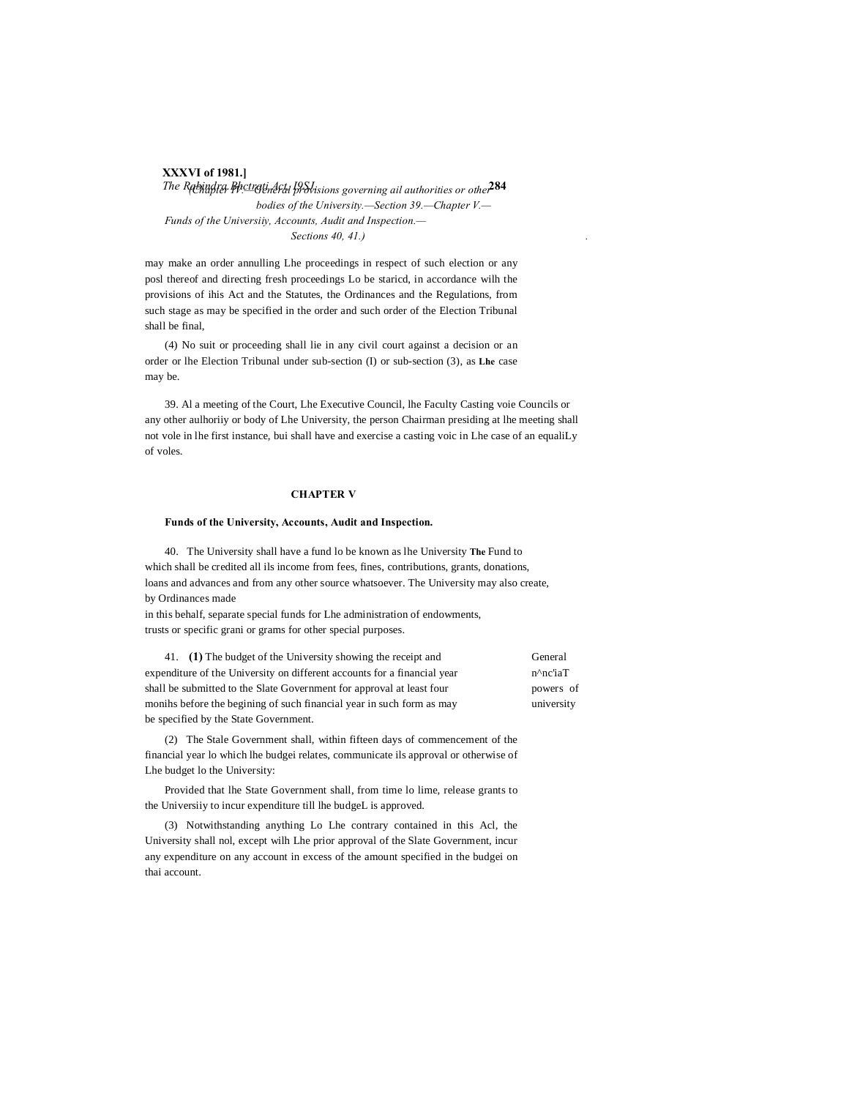# **XXXVI of 1981.]**

*The Rabindra Bhctrati Act, I9SJ. isons governing ail authorities or other* 284 *bodies of the University.—Section 39.—Chapter V.— Funds of the Universiiy, Accounts, Audit and Inspection.— Sections 40, 41.) .*

may make an order annulling Lhe proceedings in respect of such election or any posl thereof and directing fresh proceedings Lo be staricd, in accordance wilh the provisions of ihis Act and the Statutes, the Ordinances and the Regulations, from such stage as may be specified in the order and such order of the Election Tribunal shall be final,

(4) No suit or proceeding shall lie in any civil court against a decision or an order or lhe Election Tribunal under sub-section (I) or sub-section (3), as **Lhe** case may be.

39. Al a meeting of the Court, Lhe Executive Council, lhe Faculty Casting voie Councils or any other aulhoriiy or body of Lhe University, the person Chairman presiding at lhe meeting shall not vole in lhe first instance, bui shall have and exercise a casting voic in Lhe case of an equaliLy of voles.

# **CHAPTER V**

### **Funds of the University, Accounts, Audit and Inspection.**

40. The University shall have a fund lo be known as lhe University **The** Fund to which shall be credited all ils income from fees, fines, contributions, grants, donations, loans and advances and from any other source whatsoever. The University may also create, by Ordinances made

in this behalf, separate special funds for Lhe administration of endowments, trusts or specific grani or grams for other special purposes.

41. **(1)** The budget of the University showing the receipt and General expenditure of the University on different accounts for a financial year n^nc'iaT shall be submitted to the Slate Government for approval at least four powers of monihs before the begining of such financial year in such form as may university be specified by the State Government.

(2) The Stale Government shall, within fifteen days of commencement of the financial year lo which lhe budgei relates, communicate ils approval or otherwise of Lhe budget lo the University:

Provided that lhe State Government shall, from time lo lime, release grants to the Universiiy to incur expenditure till lhe budgeL is approved.

(3) Notwithstanding anything Lo Lhe contrary contained in this Acl, the University shall nol, except wilh Lhe prior approval of the Slate Government, incur any expenditure on any account in excess of the amount specified in the budgei on thai account.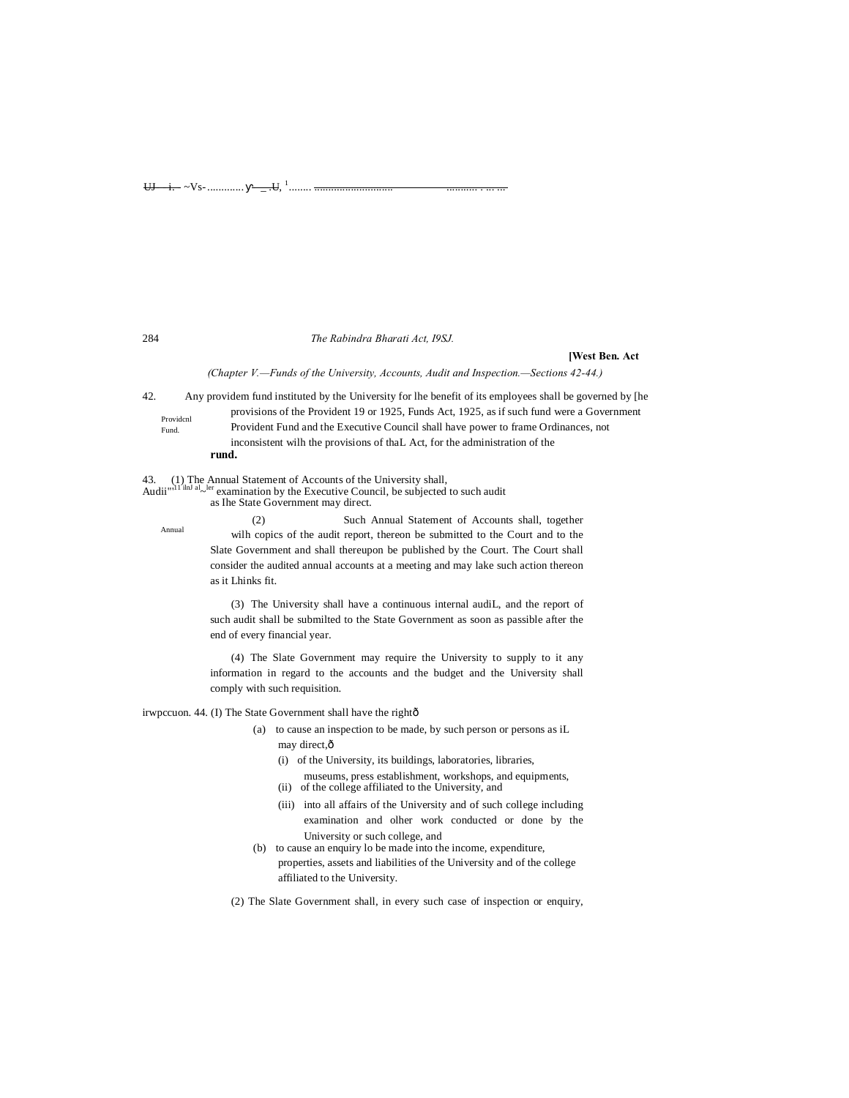284 *The Rabindra Bharati Act, I9SJ.*

## **[West Ben. Act**

*(Chapter V.—Funds of the University, Accounts, Audit and Inspection.—Sections 42-44.)*

Providcnl Fund. 42. Any providem fund instituted by the University for lhe benefit of its employees shall be governed by [he provisions of the Provident 19 or 1925, Funds Act, 1925, as if such fund were a Government Provident Fund and the Executive Council shall have power to frame Ordinances, not inconsistent wilh the provisions of thaL Act, for the administration of the **rund.**

43. (1) The Annual Statement of Accounts of the University shall,<br>Audii<sup>nd 11</sup> and  $\sim$ <sup>ler</sup> examination by the Executive Council, be subjected to such audit

as Ihe State Government may direct.

(2) Such Annual Statement of Accounts shall, together wilh copics of the audit report, thereon be submitted to the Court and to the Slate Government and shall thereupon be published by the Court. The Court shall consider the audited annual accounts at a meeting and may lake such action thereon as it Lhinks fit.

(3) The University shall have a continuous internal audiL, and the report of such audit shall be submilted to the State Government as soon as passible after the end of every financial year.

(4) The Slate Government may require the University to supply to it any information in regard to the accounts and the budget and the University shall comply with such requisition.

irwpccuon. 44. (I) The State Government shall have the rightô

- (a) to cause an inspection to be made, by such person or persons as iL may direct, $\hat{o}$ 
	- (i) of the University, its buildings, laboratories, libraries,
	- museums, press establishment, workshops, and equipments,
	- (ii) of the college affiliated to the University, and
	- (iii) into all affairs of the University and of such college including examination and olher work conducted or done by the University or such college, and
- (b) to cause an enquiry lo be made into the income, expenditure, properties, assets and liabilities of the University and of the college affiliated to the University.
- (2) The Slate Government shall, in every such case of inspection or enquiry,

Annual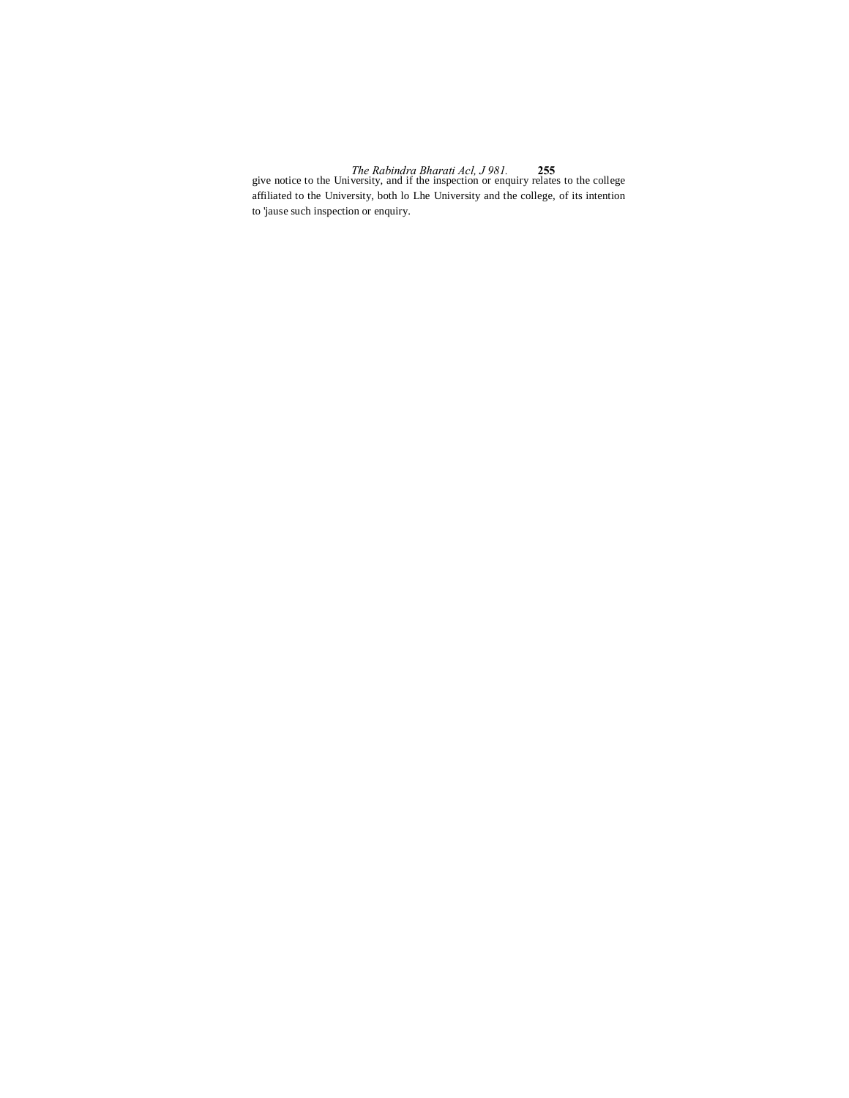*The Rabindra Bharati Acl, J 981.* **255** give notice to the University, and if the inspection or enquiry relates to the college affiliated to the University, both lo Lhe University and the college, of its intention to 'jause such inspection or enquiry.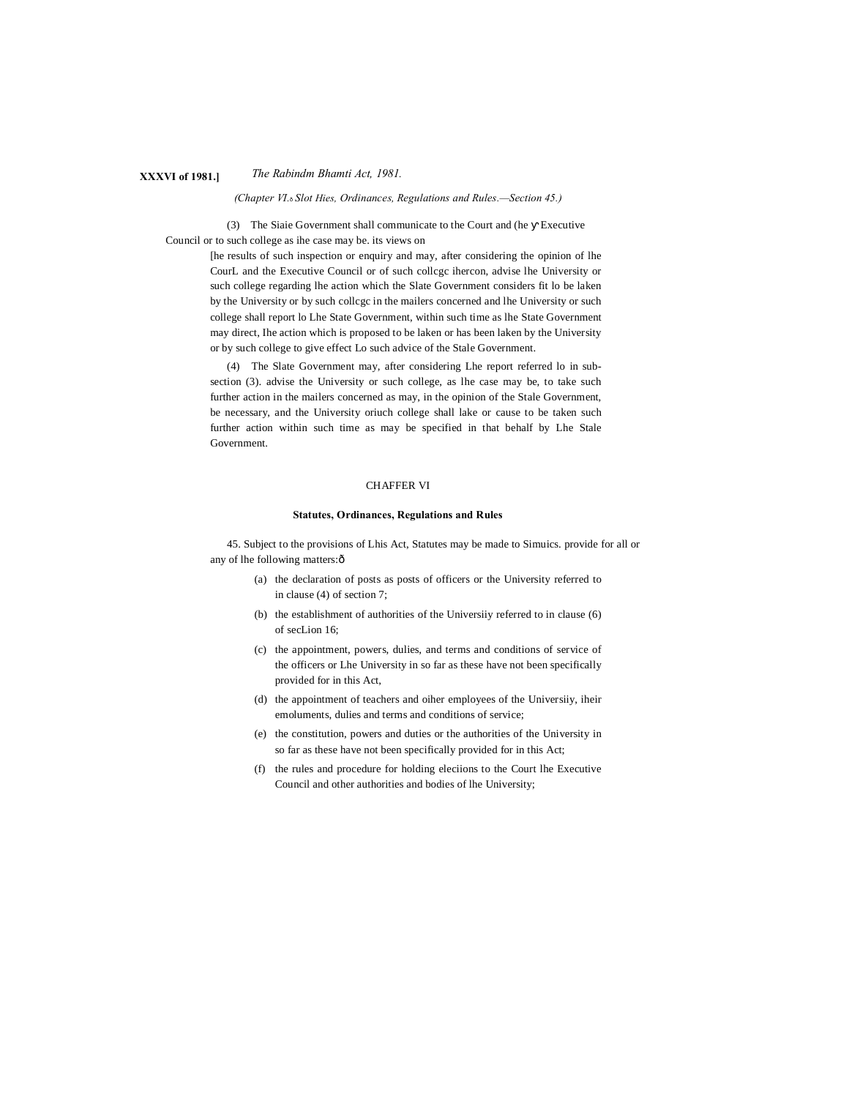# **XXXVI of 1981.]** *The Rabindm Bhamti Act, 1981.*

*(Chapter VI.*—*Slot Hies, Ordinances, Regulations and Rules.—Section 45.)*

(3) The Siaie Government shall communicate to the Court and (he Executive Council or to such college as ihe case may be. its views on

> [he results of such inspection or enquiry and may, after considering the opinion of lhe CourL and the Executive Council or of such collcgc ihercon, advise lhe University or such college regarding lhe action which the Slate Government considers fit lo be laken by the University or by such collcgc in the mailers concerned and lhe University or such college shall report lo Lhe State Government, within such time as lhe State Government may direct, Ihe action which is proposed to be laken or has been laken by the University or by such college to give effect Lo such advice of the Stale Government.

> (4) The Slate Government may, after considering Lhe report referred lo in subsection (3). advise the University or such college, as lhe case may be, to take such further action in the mailers concerned as may, in the opinion of the Stale Government, be necessary, and the University oriuch college shall lake or cause to be taken such further action within such time as may be specified in that behalf by Lhe Stale Government.

## CHAFFER VI

### **Statutes, Ordinances, Regulations and Rules**

45. Subject to the provisions of Lhis Act, Statutes may be made to Simuics. provide for all or any of lhe following matters: $\hat{o}$ 

- (a) the declaration of posts as posts of officers or the University referred to in clause (4) of section 7;
- (b) the establishment of authorities of the Universiiy referred to in clause (6) of secLion 16;
- (c) the appointment, powers, dulies, and terms and conditions of service of the officers or Lhe University in so far as these have not been specifically provided for in this Act,
- (d) the appointment of teachers and oiher employees of the Universiiy, iheir emoluments, dulies and terms and conditions of service;
- (e) the constitution, powers and duties or the authorities of the University in so far as these have not been specifically provided for in this Act;
- (f) the rules and procedure for holding eleciions to the Court lhe Executive Council and other authorities and bodies of lhe University;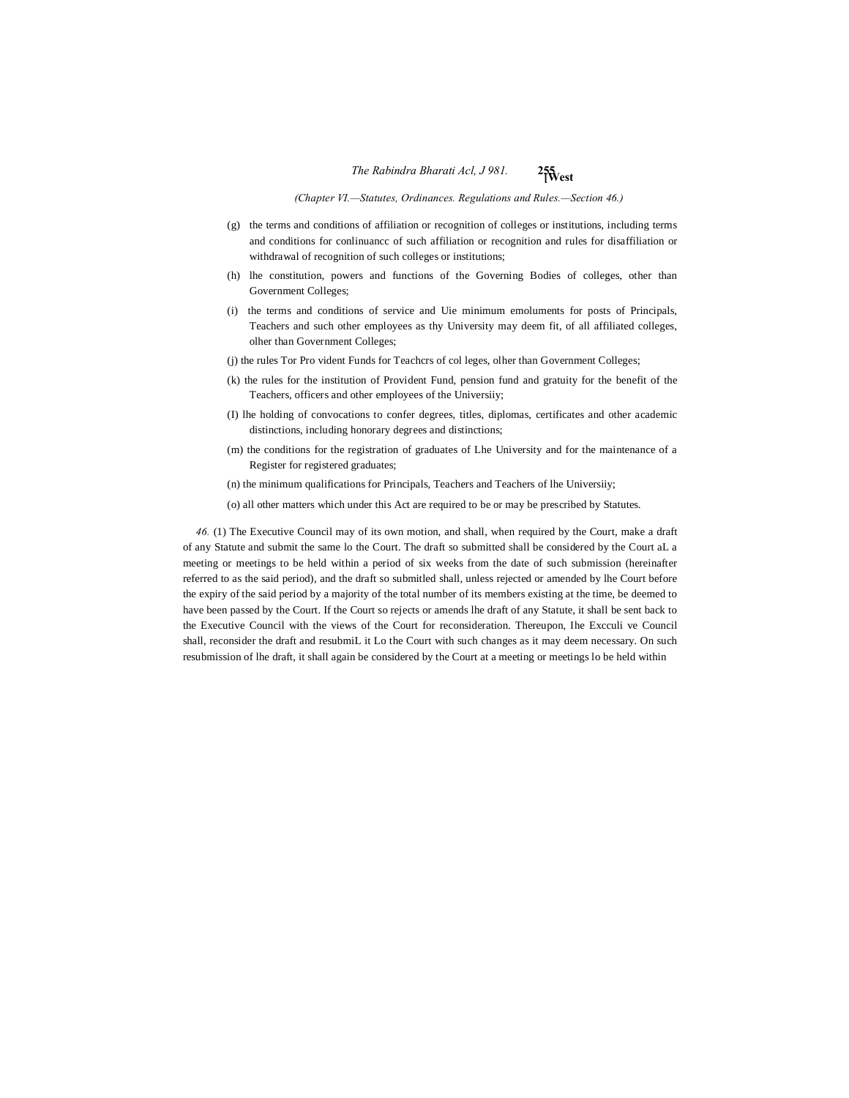*(Chapter VI.—Statutes, Ordinances. Regulations and Rules.—Section 46.)*

- (g) the terms and conditions of affiliation or recognition of colleges or institutions, including terms and conditions for conlinuancc of such affiliation or recognition and rules for disaffiliation or withdrawal of recognition of such colleges or institutions;
- (h) lhe constitution, powers and functions of the Governing Bodies of colleges, other than Government Colleges;
- (i) the terms and conditions of service and Uie minimum emoluments for posts of Principals, Teachers and such other employees as thy University may deem fit, of all affiliated colleges, olher than Government Colleges;
- (j) the rules Tor Pro vident Funds for Teachcrs of col leges, olher than Government Colleges;
- (k) the rules for the institution of Provident Fund, pension fund and gratuity for the benefit of the Teachers, officers and other employees of the Universiiy;
- (I) lhe holding of convocations to confer degrees, titles, diplomas, certificates and other academic distinctions, including honorary degrees and distinctions;
- (m) the conditions for the registration of graduates of Lhe University and for the maintenance of a Register for registered graduates;

(n) the minimum qualifications for Principals, Teachers and Teachers of lhe Universiiy;

(o) all other matters which under this Act are required to be or may be prescribed by Statutes.

*46.* (1) The Executive Council may of its own motion, and shall, when required by the Court, make a draft of any Statute and submit the same lo the Court. The draft so submitted shall be considered by the Court aL a meeting or meetings to be held within a period of six weeks from the date of such submission (hereinafter referred to as the said period), and the draft so submitled shall, unless rejected or amended by lhe Court before the expiry of the said period by a majority of the total number of its members existing at the time, be deemed to have been passed by the Court. If the Court so rejects or amends lhe draft of any Statute, it shall be sent back to the Executive Council with the views of the Court for reconsideration. Thereupon, Ihe Excculi ve Council shall, reconsider the draft and resubmiL it Lo the Court with such changes as it may deem necessary. On such resubmission of lhe draft, it shall again be considered by the Court at a meeting or meetings lo be held within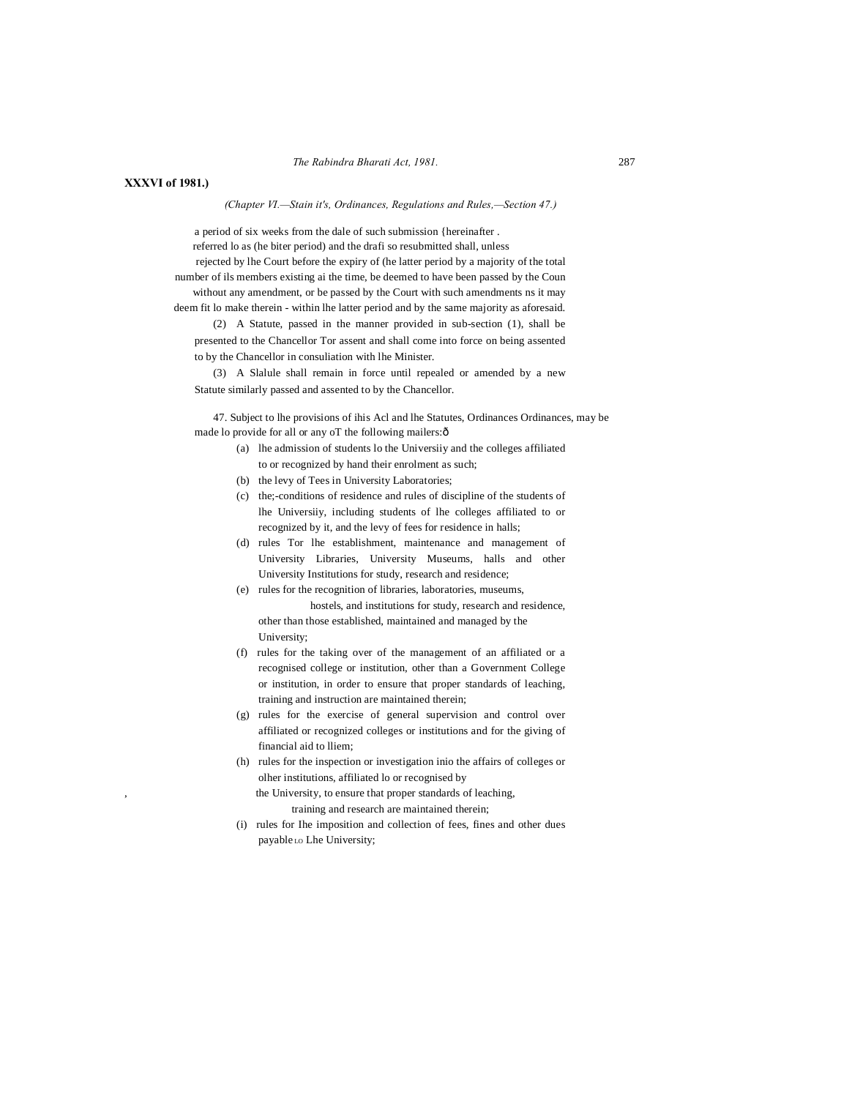# *The Rabindra Bharati Act, 1981.* 287

# **XXXVI of 1981.)**

## *(Chapter VI.—Stain it's, Ordinances, Regulations and Rules,—Section 47.)*

a period of six weeks from the dale of such submission {hereinafter .

referred lo as (he biter period) and the drafi so resubmitted shall, unless rejected by lhe Court before the expiry of (he latter period by a majority of the total number of ils members existing ai the time, be deemed to have been passed by the Coun

without any amendment, or be passed by the Court with such amendments ns it may deem fit lo make therein - within lhe latter period and by the same majority as aforesaid.

(2) A Statute, passed in the manner provided in sub-section (1), shall be presented to the Chancellor Tor assent and shall come into force on being assented to by the Chancellor in consuliation with lhe Minister.

(3) A Slalule shall remain in force until repealed or amended by a new Statute similarly passed and assented to by the Chancellor.

47. Subject to lhe provisions of ihis Acl and lhe Statutes, Ordinances Ordinances, may be made lo provide for all or any oT the following mailers: $\hat{o}$ 

- (a) lhe admission of students lo the Universiiy and the colleges affiliated to or recognized by hand their enrolment as such;
	- (b) the levy of Tees in University Laboratories;
	- (c) the;-conditions of residence and rules of discipline of the students of lhe Universiiy, including students of lhe colleges affiliated to or recognized by it, and the levy of fees for residence in halls;
	- (d) rules Tor lhe establishment, maintenance and management of University Libraries, University Museums, halls and other University Institutions for study, research and residence;
	- (e) rules for the recognition of libraries, laboratories, museums, hostels, and institutions for study, research and residence, other than those established, maintained and managed by the University;
	- (f) rules for the taking over of the management of an affiliated or a recognised college or institution, other than a Government College or institution, in order to ensure that proper standards of leaching, training and instruction are maintained therein;
	- (g) rules for the exercise of general supervision and control over affiliated or recognized colleges or institutions and for the giving of financial aid to lliem;
	- (h) rules for the inspection or investigation inio the affairs of colleges or olher institutions, affiliated lo or recognised by the University, to ensure that proper standards of leaching,

training and research are maintained therein;

(i) rules for Ihe imposition and collection of fees, fines and other dues payable Lo Lhe University;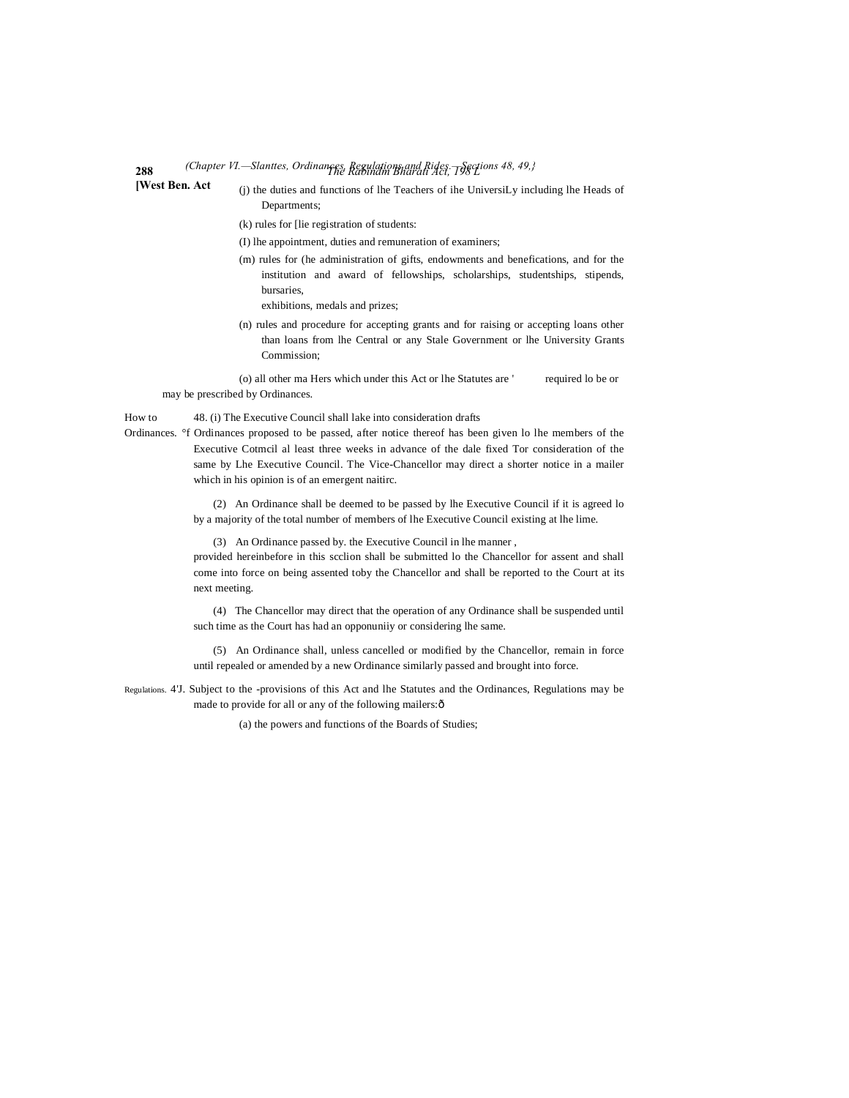# **288** *The Rabindm Bharati Act, 198 L (Chapter VI.—Slanttes, Ordinances, Regulations and Rides.—Sections 48, 49,}*

**[West Ben. Act**

(j) the duties and functions of lhe Teachers of ihe UniversiLy including lhe Heads of Departments;

(k) rules for [lie registration of students:

- (I) lhe appointment, duties and remuneration of examiners;
- (m) rules for (he administration of gifts, endowments and benefications, and for the institution and award of fellowships, scholarships, studentships, stipends, bursaries,

exhibitions, medals and prizes;

(n) rules and procedure for accepting grants and for raising or accepting loans other than loans from lhe Central or any Stale Government or lhe University Grants Commission;

(o) all other ma Hers which under this Act or lhe Statutes are ' required lo be or may be prescribed by Ordinances.

How to 48. (i) The Executive Council shall lake into consideration drafts

Ordinances. °f Ordinances proposed to be passed, after notice thereof has been given lo lhe members of the Executive Cotmcil al least three weeks in advance of the dale fixed Tor consideration of the same by Lhe Executive Council. The Vice-Chancellor may direct a shorter notice in a mailer which in his opinion is of an emergent naitirc.

> (2) An Ordinance shall be deemed to be passed by lhe Executive Council if it is agreed lo by a majority of the total number of members of lhe Executive Council existing at lhe lime.

(3) An Ordinance passed by. the Executive Council in lhe manner ,

provided hereinbefore in this scclion shall be submitted lo the Chancellor for assent and shall come into force on being assented toby the Chancellor and shall be reported to the Court at its next meeting.

(4) The Chancellor may direct that the operation of any Ordinance shall be suspended until such time as the Court has had an opponuniiy or considering lhe same.

(5) An Ordinance shall, unless cancelled or modified by the Chancellor, remain in force until repealed or amended by a new Ordinance similarly passed and brought into force.

Regulations. 4'J. Subject to the -provisions of this Act and lhe Statutes and the Ordinances, Regulations may be made to provide for all or any of the following mailers: ô

(a) the powers and functions of the Boards of Studies;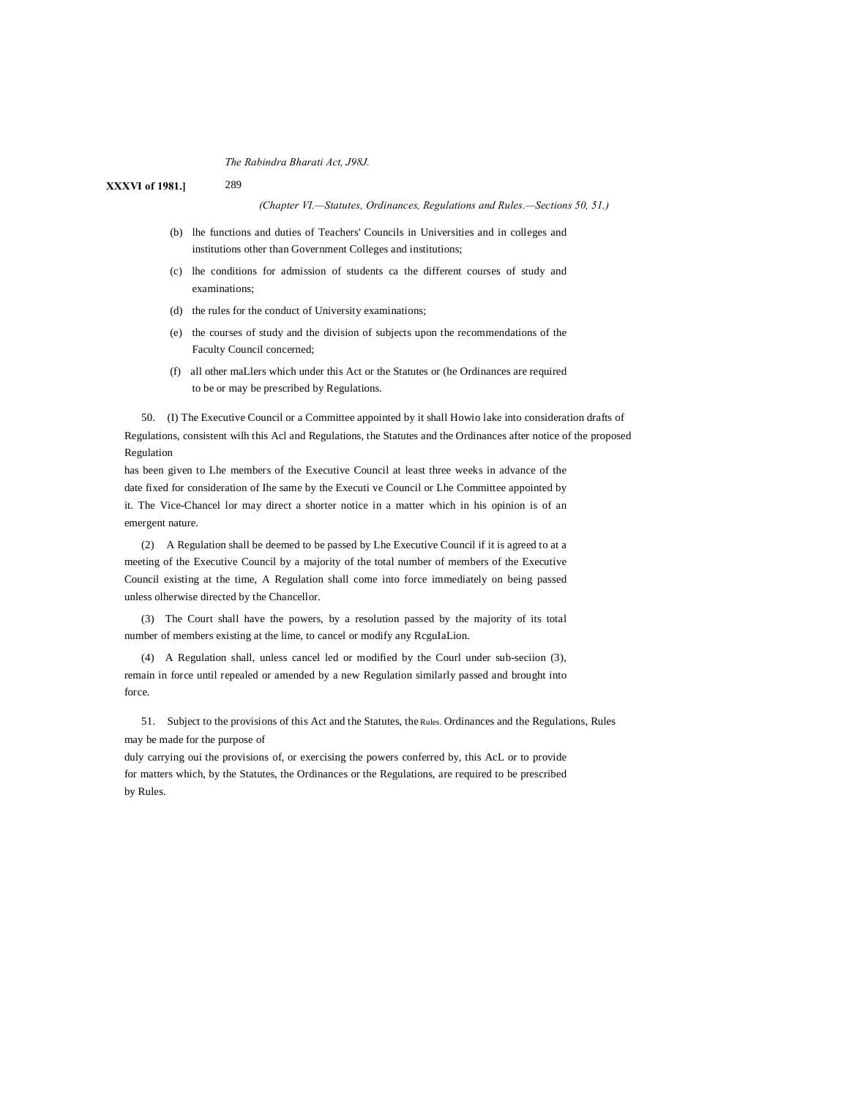289

**XXXVI of 1981.]**

*(Chapter VI.—Statutes, Ordinances, Regulations and Rules.—Sections 50, 51.)*

- (b) lhe functions and duties of Teachers' Councils in Universities and in colleges and institutions other than Government Colleges and institutions;
- (c) lhe conditions for admission of students ca the different courses of study and examinations;
- (d) the rules for the conduct of University examinations;
- (e) the courses of study and the division of subjects upon the recommendations of the Faculty Council concerned;
- (f) all other maLlers which under this Act or the Statutes or (he Ordinances are required to be or may be prescribed by Regulations.

50. (I) The Executive Council or a Committee appointed by it shall Howio lake into consideration drafts of Regulations, consistent wilh this Acl and Regulations, the Statutes and the Ordinances after notice of the proposed Regulation

has been given to Lhe members of the Executive Council at least three weeks in advance of the date fixed for consideration of Ihe same by the Executi ve Council or Lhe Committee appointed by it. The Vice-Chancel lor may direct a shorter notice in a matter which in his opinion is of an emergent nature.

(2) A Regulation shall be deemed to be passed by Lhe Executive Council if it is agreed to at a meeting of the Executive Council by a majority of the total number of members of the Executive Council existing at the time, A Regulation shall come into force immediately on being passed unless olherwise directed by the Chancellor.

(3) The Court shall have the powers, by a resolution passed by the majority of its total number of members existing at the lime, to cancel or modify any RcguIaLion.

(4) A Regulation shall, unless cancel led or modified by the Courl under sub-seciion (3), remain in force until repealed or amended by a new Regulation similarly passed and brought into force.

51. Subject to the provisions of this Act and the Statutes, the Rules. Ordinances and the Regulations, Rules may be made for the purpose of

duly carrying oui the provisions of, or exercising the powers conferred by, this AcL or to provide for matters which, by the Statutes, the Ordinances or the Regulations, are required to be prescribed by Rules.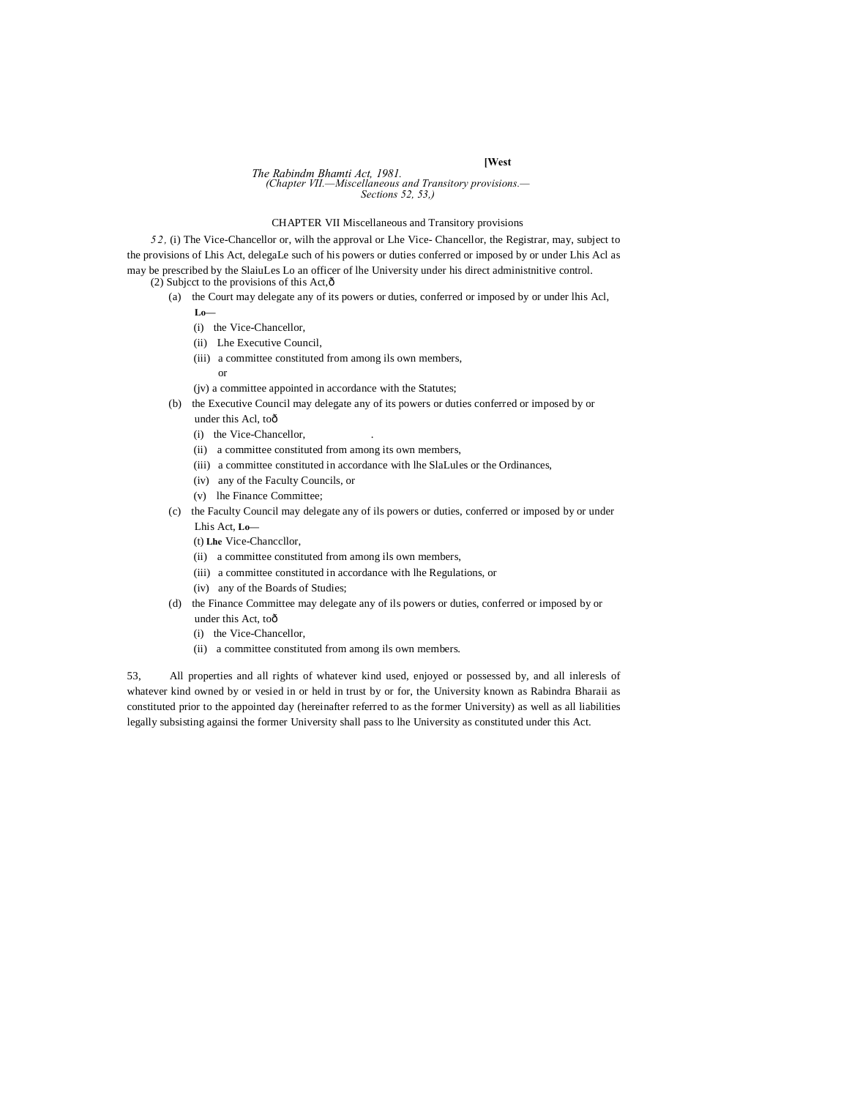# *The Rabindm Bhamti Act, 1981. (Chapter VII.—Miscellaneous and Transitory provisions.— Sections 52, 53,)*

# CHAPTER VII Miscellaneous and Transitory provisions

*5 2,* (i) The Vice-Chancellor or, wilh the approval or Lhe Vice- Chancellor, the Registrar, may, subject to the provisions of Lhis Act, delegaLe such of his powers or duties conferred or imposed by or under Lhis Acl as may be prescribed by the SlaiuLes Lo an officer of lhe University under his direct administnitive control. (2) Subject to the provisions of this Act, $\hat{\text{o}}$ 

- - (a) the Court may delegate any of its powers or duties, conferred or imposed by or under lhis Acl,
		- **Lo—**
		- (i) the Vice-Chancellor,
		- (ii) Lhe Executive Council,
		- (iii) a committee constituted from among ils own members,
			- or
		- (jv) a committee appointed in accordance with the Statutes;
	- (b) the Executive Council may delegate any of its powers or duties conferred or imposed by or under this Acl, toô
		- (i) the Vice-Chancellor,
		- (ii) a committee constituted from among its own members,
		- (iii) a committee constituted in accordance with lhe SlaLules or the Ordinances,
		- (iv) any of the Faculty Councils, or
		- (v) lhe Finance Committee;
	- (c) the Faculty Council may delegate any of ils powers or duties, conferred or imposed by or under Lhis Act, **Lo—**

(t) **Lhe** Vice-Chanccllor,

- (ii) a committee constituted from among ils own members,
- (iii) a committee constituted in accordance with lhe Regulations, or
- (iv) any of the Boards of Studies;
- (d) the Finance Committee may delegate any of ils powers or duties, conferred or imposed by or under this Act, toô
	- (i) the Vice-Chancellor,
	- (ii) a committee constituted from among ils own members.

53, All properties and all rights of whatever kind used, enjoyed or possessed by, and all inleresls of whatever kind owned by or vesied in or held in trust by or for, the University known as Rabindra Bharaii as constituted prior to the appointed day (hereinafter referred to as the former University) as well as all liabilities legally subsisting againsi the former University shall pass to lhe University as constituted under this Act.

# **[West**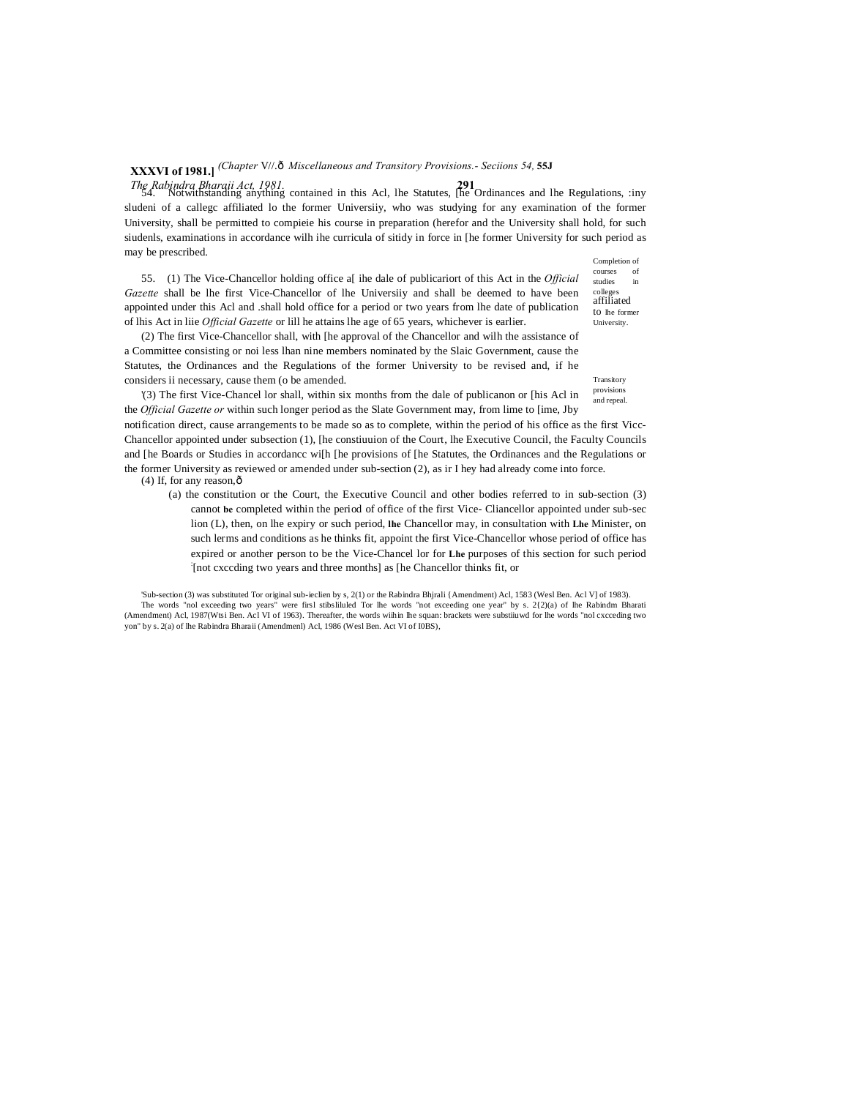# **XXXVI of 1981.]** *(Chapter* V//.—*Miscellaneous and Transitory Provisions.- Seciions 54,* **55J**

*The Rabindra Bharaii Act, 1981.* **291** 54. Notwithstanding anything contained in this Acl, lhe Statutes, [he Ordinances and lhe Regulations, :iny sludeni of a callegc affiliated lo the former Universiiy, who was studying for any examination of the former University, shall be permitted to compieie his course in preparation (herefor and the University shall hold, for such siudenls, examinations in accordance wilh ihe curricula of sitidy in force in [he former University for such period as may be prescribed.

55. (1) The Vice-Chancellor holding office a[ ihe dale of publicariort of this Act in the *Official Gazette* shall be lhe first Vice-Chancellor of lhe Universiiy and shall be deemed to have been appointed under this Acl and .shall hold office for a period or two years from lhe date of publication of lhis Act in liie *Official Gazette* or lill he attains lhe age of 65 years, whichever is earlier.

(2) The first Vice-Chancellor shall, with [he approval of the Chancellor and wilh the assistance of a Committee consisting or noi less lhan nine members nominated by the Slaic Government, cause the Statutes, the Ordinances and the Regulations of the former University to be revised and, if he considers ii necessary, cause them (o be amended.

provisions and repeal. '(3) The first Vice-Chancel lor shall, within six months from the dale of publicanon or [his Acl in the *Official Gazette or* within such longer period as the Slate Government may, from lime to [ime, Jby

notification direct, cause arrangements to be made so as to complete, within the period of his office as the first Vicc-Chancellor appointed under subsection (1), [he constiuuion of the Court, lhe Executive Council, the Faculty Councils and [he Boards or Studies in accordancc wi[h [he provisions of [he Statutes, the Ordinances and the Regulations or the former University as reviewed or amended under sub-section (2), as ir I hey had already come into force.  $(4)$  If, for any reason, $\hat{\text{o}}$ 

(a) the constitution or the Court, the Executive Council and other bodies referred to in sub-section (3) cannot **be** completed within the period of office of the first Vice- Cliancellor appointed under sub-sec lion (L), then, on lhe expiry or such period, **lhe** Chancellor may, in consultation with **Lhe** Minister, on such lerms and conditions as he thinks fit, appoint the first Vice-Chancellor whose period of office has expired or another person to be the Vice-Chancel lor for **Lhe** purposes of this section for such period : [not cxccding two years and three months] as [he Chancellor thinks fit, or

'Sub-section (3) was substituted Tor original sub-ieclien by s, 2(1) or the Rabindra Bhjrali {Amendment) Acl, 1583 (Wesl Ben. Acl V] of 1983). The words "nol exceeding two years" were firsl stibsliluled Tor lhe words "not exceeding one year" by s. 2{2)(a) of lhe Rabindm Bharati (Amendment) Acl, 1987(Wtsi Ben. Acl VI of 1963). Thereafter, the words wiihin lhe squan: brackets were substiiuwd for lhe words "nol cxcceding two yon" by s. 2(a) of lhe Rabindra Bharaii (Amendmenl) Acl, 1986 (Wesl Ben. Act VI of I0BS),

Completion of courses studies in college affiliated to lhe former University.

**Transitory**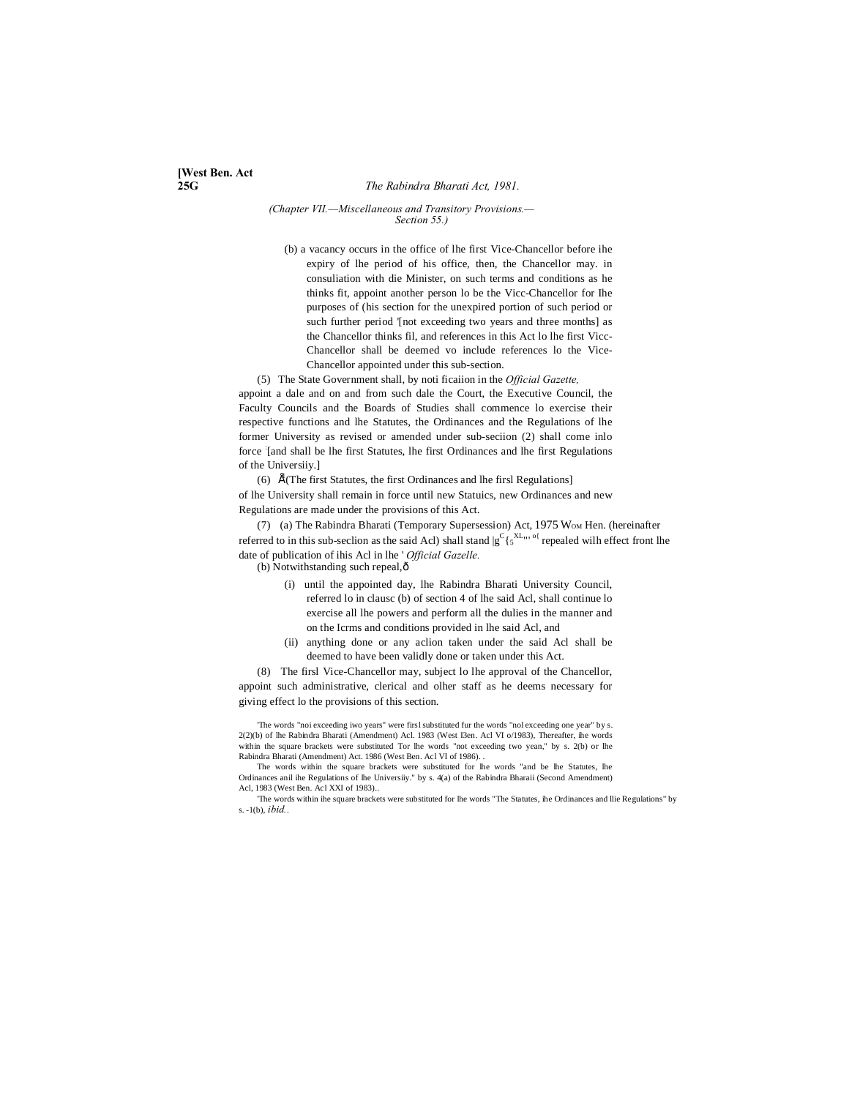### **25G** *The Rabindra Bharati Act, 1981.*

### *(Chapter VII.—Miscellaneous and Transitory Provisions.— Section 55.)*

(b) a vacancy occurs in the office of lhe first Vice-Chancellor before ihe expiry of lhe period of his office, then, the Chancellor may. in consuliation with die Minister, on such terms and conditions as he thinks fit, appoint another person lo be the Vicc-Chancellor for Ihe purposes of (his section for the unexpired portion of such period or such further period '[not exceeding two years and three months] as the Chancellor thinks fil, and references in this Act lo lhe first Vicc-Chancellor shall be deemed vo include references lo the Vice-Chancellor appointed under this sub-section.

(5) The State Government shall, by noti ficaiion in the *Official Gazette,*

appoint a dale and on and from such dale the Court, the Executive Council, the Faculty Councils and the Boards of Studies shall commence lo exercise their respective functions and lhe Statutes, the Ordinances and the Regulations of lhe former University as revised or amended under sub-seciion (2) shall come inlo force [and shall be lhe first Statutes, lhe first Ordinances and lhe first Regulations of the Universiiy.]

(6)  $\vec{E}$ (The first Statutes, the first Ordinances and lhe firsl Regulations] of lhe University shall remain in force until new Statuics, new Ordinances and new Regulations are made under the provisions of this Act.

(7) (a) The Rabindra Bharati (Temporary Supersession) Act, 1975 WOM Hen. (hereinafter referred to in this sub-seclion as the said Acl) shall stand  $|g^C\{5^{\text{XL}}\}|\}$  repealed wilh effect front lhe date of publication of ihis Acl in lhe ' *Official Gazelle.*

(b) Notwithstanding such repeal, $\hat{o}$ 

- (i) until the appointed day, lhe Rabindra Bharati University Council, referred lo in clausc (b) of section 4 of lhe said Acl, shall continue lo exercise all lhe powers and perform all the dulies in the manner and on the Icrms and conditions provided in lhe said Acl, and
- (ii) anything done or any aclion taken under the said Acl shall be deemed to have been validly done or taken under this Act.

(8) The firsl Vice-Chancellor may, subject lo lhe approval of the Chancellor, appoint such administrative, clerical and olher staff as he deems necessary for giving effect lo the provisions of this section.

'The words "noi exceeding iwo years" were firsl substituted fur the words "nol exceeding one year" by s. 2(2)(b) of lhe Rabindra Bharati (Amendment) Acl. 1983 (West I3en. Acl VI o/1983), Thereafter, ihe words within the square brackets were substituted Tor lhe words "not exceeding two yean," by s. 2(b) or lhe Rabindra Bharati (Amendment) Act. 1986 (West Ben. Acl VI of 1986). .

The words within the square brackets were substituted for lhe words "and be lhe Statutes, lhe Ordinances anil ihe Regulations of lhe Universiiy." by s. 4(a) of the Rabindra Bharaii (Second Amendment) Acl, 1983 (West Ben. Acl XXI of 1983)..

'The words within ihe square brackets were substituted for lhe words "The Statutes, ihe Ordinances and llie Regulations" by s. -1(b), *ibid..*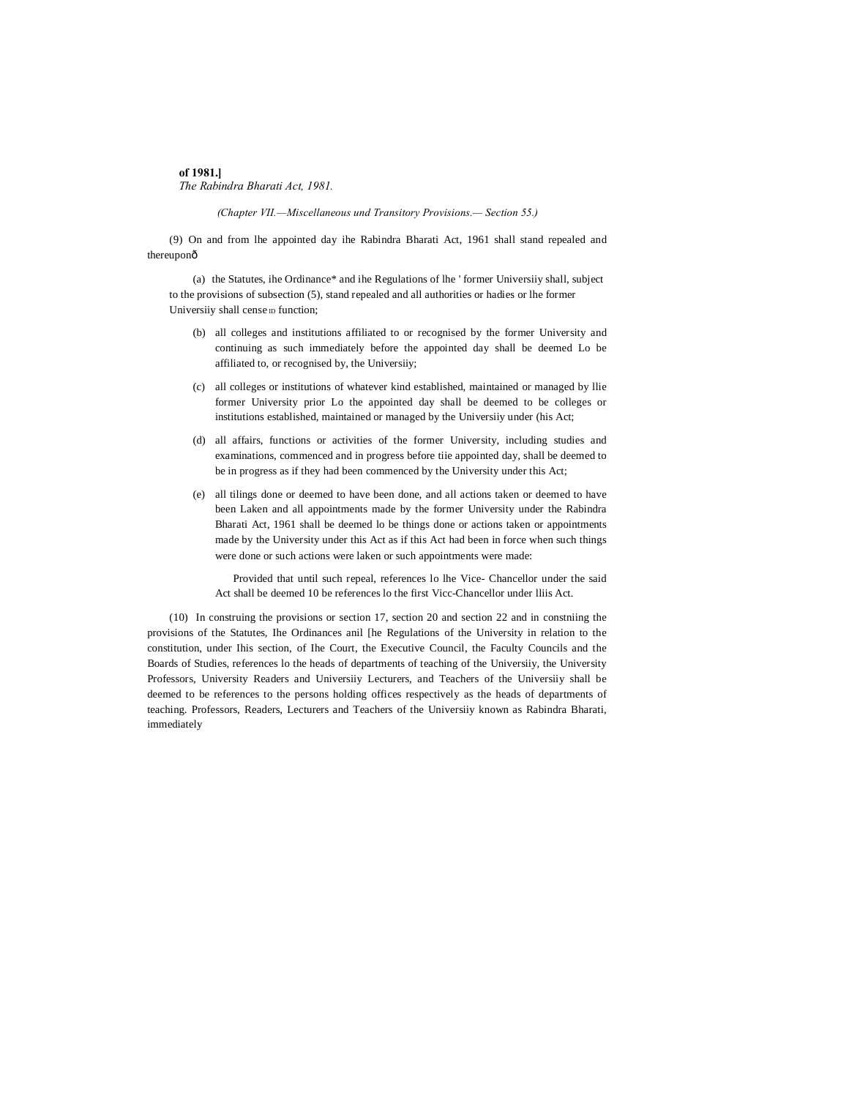# **of 1981.]** *The Rabindra Bharati Act, 1981.*

*(Chapter VII.—Miscellaneous und Transitory Provisions.— Section 55.)*

(9) On and from lhe appointed day ihe Rabindra Bharati Act, 1961 shall stand repealed and thereuponô

(a) the Statutes, ihe Ordinance\* and ihe Regulations of lhe ' former Universiiy shall, subject to the provisions of subsection (5), stand repealed and all authorities or hadies or lhe former Universiiy shall cense  $D$  function;

- (b) all colleges and institutions affiliated to or recognised by the former University and continuing as such immediately before the appointed day shall be deemed Lo be affiliated to, or recognised by, the Universiiy;
- (c) all colleges or institutions of whatever kind established, maintained or managed by llie former University prior Lo the appointed day shall be deemed to be colleges or institutions established, maintained or managed by the Universiiy under (his Act;
- (d) all affairs, functions or activities of the former University, including studies and examinations, commenced and in progress before tiie appointed day, shall be deemed to be in progress as if they had been commenced by the University under this Act;
- (e) all tilings done or deemed to have been done, and all actions taken or deemed to have been Laken and all appointments made by the former University under the Rabindra Bharati Act, 1961 shall be deemed lo be things done or actions taken or appointments made by the University under this Act as if this Act had been in force when such things were done or such actions were laken or such appointments were made:

Provided that until such repeal, references lo lhe Vice- Chancellor under the said Act shall be deemed 10 be references lo the first Vicc-Chancellor under lliis Act.

(10) In construing the provisions or section 17, section 20 and section 22 and in constniing the provisions of the Statutes, Ihe Ordinances anil [he Regulations of the University in relation to the constitution, under Ihis section, of Ihe Court, the Executive Council, the Faculty Councils and the Boards of Studies, references lo the heads of departments of teaching of the Universiiy, the University Professors, University Readers and Universiiy Lecturers, and Teachers of the Universiiy shall be deemed to be references to the persons holding offices respectively as the heads of departments of teaching. Professors, Readers, Lecturers and Teachers of the Universiiy known as Rabindra Bharati, immediately